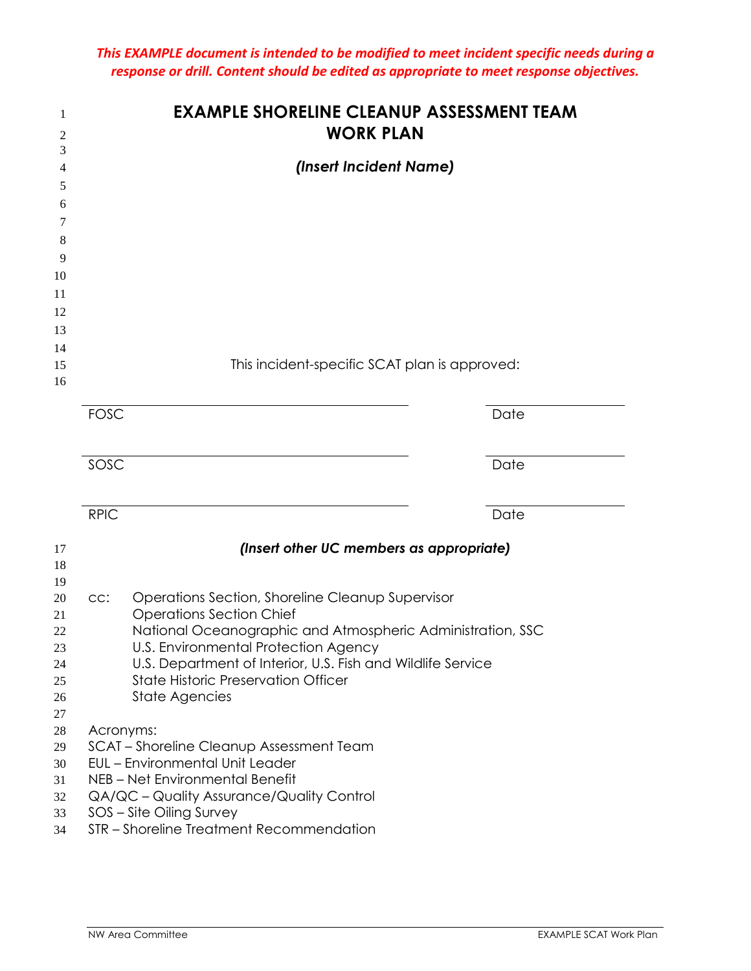|             | <b>EXAMPLE SHORELINE CLEANUP ASSESSMENT TEAM</b><br><b>WORK PLAN</b>                |      |
|-------------|-------------------------------------------------------------------------------------|------|
|             | (Insert Incident Name)                                                              |      |
|             |                                                                                     |      |
|             |                                                                                     |      |
|             |                                                                                     |      |
|             |                                                                                     |      |
|             |                                                                                     |      |
|             |                                                                                     |      |
|             |                                                                                     |      |
|             |                                                                                     |      |
|             |                                                                                     |      |
|             | This incident-specific SCAT plan is approved:                                       |      |
|             |                                                                                     |      |
| <b>FOSC</b> |                                                                                     | Date |
|             |                                                                                     |      |
| SOSC        |                                                                                     | Date |
|             |                                                                                     |      |
|             |                                                                                     |      |
| <b>RPIC</b> |                                                                                     | Date |
|             | (Insert other UC members as appropriate)                                            |      |
|             |                                                                                     |      |
|             |                                                                                     |      |
| CC:         | Operations Section, Shoreline Cleanup Supervisor<br><b>Operations Section Chief</b> |      |
|             | National Oceanographic and Atmospheric Administration, SSC                          |      |
|             | U.S. Environmental Protection Agency                                                |      |
|             | U.S. Department of Interior, U.S. Fish and Wildlife Service                         |      |
|             | <b>State Historic Preservation Officer</b>                                          |      |
|             | <b>State Agencies</b>                                                               |      |
|             | Acronyms:                                                                           |      |
|             | SCAT - Shoreline Cleanup Assessment Team                                            |      |
|             | <b>EUL</b> - Environmental Unit Leader                                              |      |
|             | NEB - Net Environmental Benefit                                                     |      |
|             | QA/QC - Quality Assurance/Quality Control                                           |      |
|             | SOS - Site Oiling Survey                                                            |      |
|             | STR - Shoreline Treatment Recommendation                                            |      |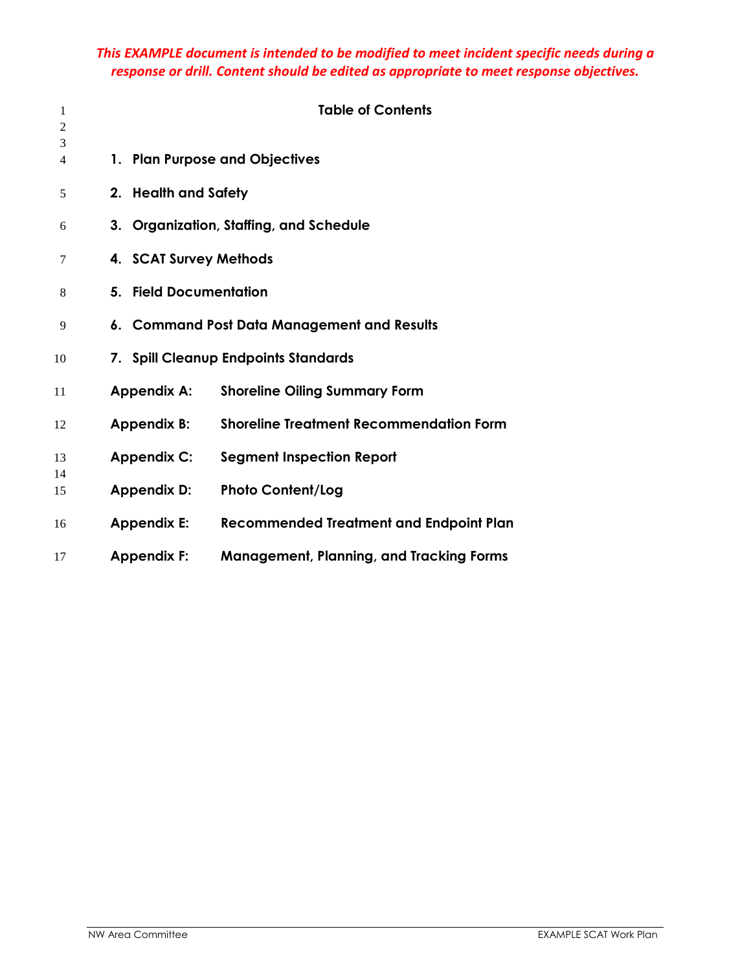| 1<br>$\overline{2}$ |                        | <b>Table of Contents</b>                        |
|---------------------|------------------------|-------------------------------------------------|
| 3<br>4              |                        | 1. Plan Purpose and Objectives                  |
| 5                   | 2. Health and Safety   |                                                 |
| 6                   |                        | 3. Organization, Staffing, and Schedule         |
| 7                   | 4. SCAT Survey Methods |                                                 |
| 8                   | 5. Field Documentation |                                                 |
| 9                   |                        | 6. Command Post Data Management and Results     |
| 10                  |                        | 7. Spill Cleanup Endpoints Standards            |
| 11                  | <b>Appendix A:</b>     | <b>Shoreline Oiling Summary Form</b>            |
| 12                  | <b>Appendix B:</b>     | <b>Shoreline Treatment Recommendation Form</b>  |
| 13                  | <b>Appendix C:</b>     | <b>Segment Inspection Report</b>                |
| 14<br>15            | <b>Appendix D:</b>     | <b>Photo Content/Log</b>                        |
| 16                  | <b>Appendix E:</b>     | <b>Recommended Treatment and Endpoint Plan</b>  |
| 17                  | <b>Appendix F:</b>     | <b>Management, Planning, and Tracking Forms</b> |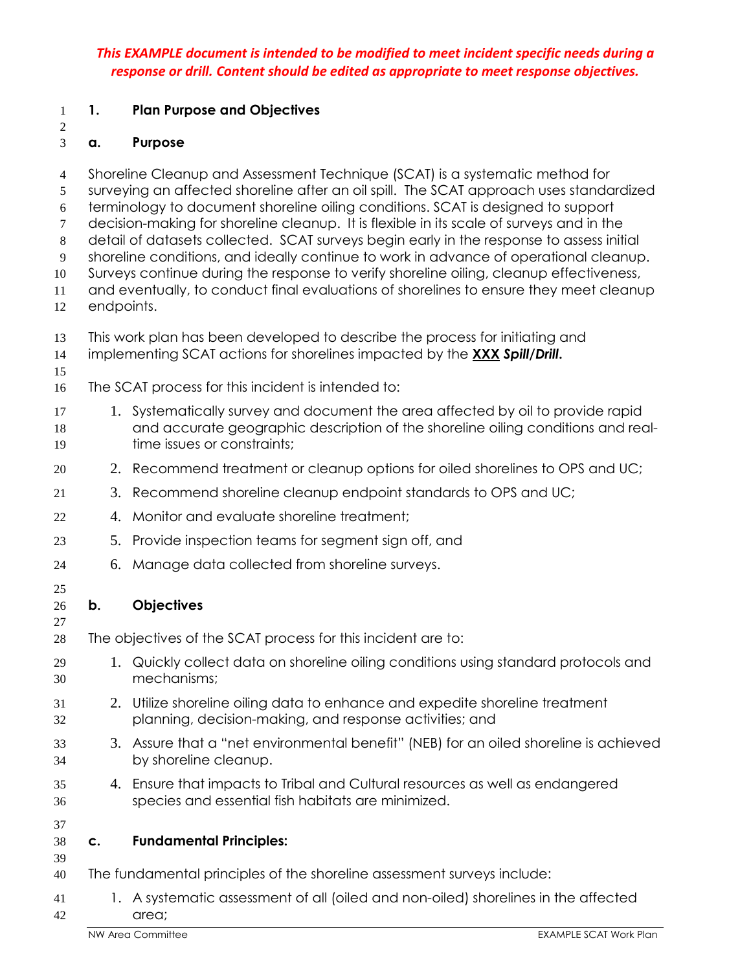Shoreline Cleanup and Assessment Technique (SCAT) is a systematic method for

#### **1. Plan Purpose and Objectives**

### 

**a. Purpose** 

surveying an affected shoreline after an oil spill. The SCAT approach uses standardized terminology to document shoreline oiling conditions. SCAT is designed to support decision-making for shoreline cleanup. It is flexible in its scale of surveys and in the detail of datasets collected. SCAT surveys begin early in the response to assess initial shoreline conditions, and ideally continue to work in advance of operational cleanup. Surveys continue during the response to verify shoreline oiling, cleanup effectiveness, and eventually, to conduct final evaluations of shorelines to ensure they meet cleanup endpoints. This work plan has been developed to describe the process for initiating and implementing SCAT actions for shorelines impacted by the **XXX** *Spill/Drill***.** The SCAT process for this incident is intended to: 17 1. Systematically survey and document the area affected by oil to provide rapid and accurate geographic description of the shoreline oiling conditions and real-time issues or constraints; 2. Recommend treatment or cleanup options for oiled shorelines to OPS and UC; 3. Recommend shoreline cleanup endpoint standards to OPS and UC; 4. Monitor and evaluate shoreline treatment; 5. Provide inspection teams for segment sign off, and 6. Manage data collected from shoreline surveys. **b. Objectives**  The objectives of the SCAT process for this incident are to: 1. Quickly collect data on shoreline oiling conditions using standard protocols and mechanisms; 2. Utilize shoreline oiling data to enhance and expedite shoreline treatment planning, decision-making, and response activities; and 3. Assure that a "net environmental benefit" (NEB) for an oiled shoreline is achieved by shoreline cleanup. 4. Ensure that impacts to Tribal and Cultural resources as well as endangered species and essential fish habitats are minimized. **c. Fundamental Principles:**  The fundamental principles of the shoreline assessment surveys include: 1. A systematic assessment of all (oiled and non-oiled) shorelines in the affected area;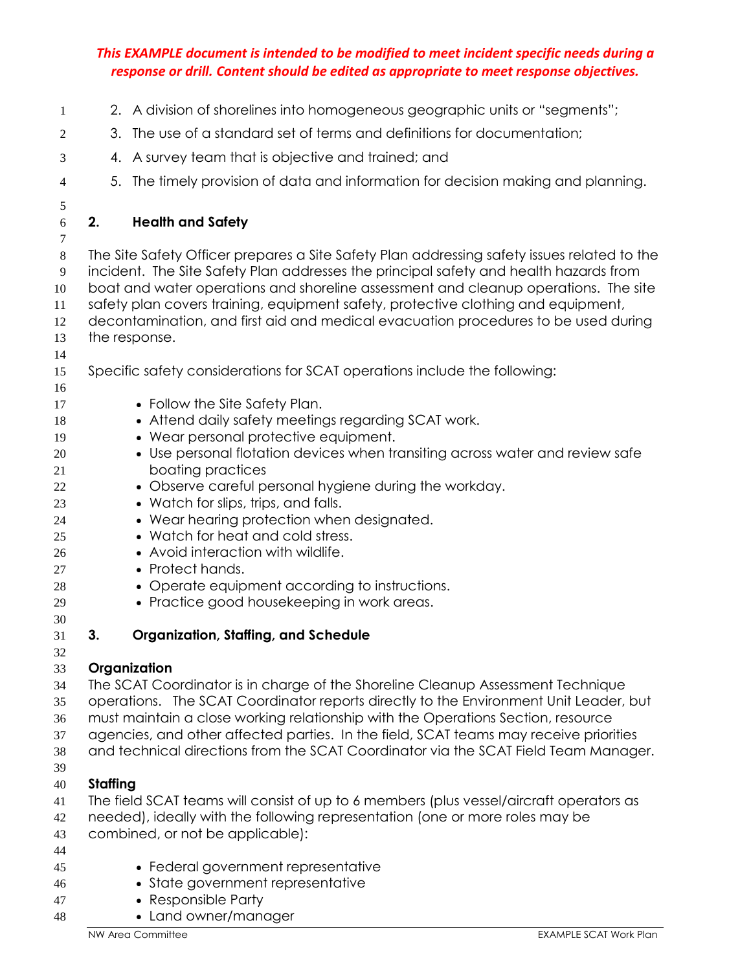| 1        |          | 2. A division of shorelines into homogeneous geographic units or "segments";                                           |
|----------|----------|------------------------------------------------------------------------------------------------------------------------|
| 2        | 3.       | The use of a standard set of terms and definitions for documentation;                                                  |
| 3        |          | 4. A survey team that is objective and trained; and                                                                    |
| 4        | 5.       | The timely provision of data and information for decision making and planning.                                         |
| 5        |          |                                                                                                                        |
| 6<br>7   | 2.       | <b>Health and Safety</b>                                                                                               |
| $8\,$    |          | The Site Safety Officer prepares a Site Safety Plan addressing safety issues related to the                            |
| 9        |          | incident. The Site Safety Plan addresses the principal safety and health hazards from                                  |
| 10       |          | boat and water operations and shoreline assessment and cleanup operations. The site                                    |
| 11       |          | safety plan covers training, equipment safety, protective clothing and equipment,                                      |
| 12       |          | decontamination, and first aid and medical evacuation procedures to be used during                                     |
| 13<br>14 |          | the response.                                                                                                          |
| 15       |          | Specific safety considerations for SCAT operations include the following:                                              |
| 16       |          |                                                                                                                        |
| 17       |          | • Follow the Site Safety Plan.                                                                                         |
| 18       |          | • Attend daily safety meetings regarding SCAT work.                                                                    |
| 19       |          | • Wear personal protective equipment.<br>• Use personal flotation devices when transiting across water and review safe |
| 20<br>21 |          | boating practices                                                                                                      |
| 22       |          | • Observe careful personal hygiene during the workday.                                                                 |
| 23       |          | • Watch for slips, trips, and falls.                                                                                   |
| 24       |          | • Wear hearing protection when designated.                                                                             |
| 25       |          | • Watch for heat and cold stress.                                                                                      |
| 26       |          | • Avoid interaction with wildlife.                                                                                     |
| 27<br>28 |          | • Protect hands.<br>• Operate equipment according to instructions.                                                     |
| 29       |          | • Practice good housekeeping in work areas.                                                                            |
| 30       |          |                                                                                                                        |
| 31       | 3.       | <b>Organization, Staffing, and Schedule</b>                                                                            |
| 32<br>33 |          | Organization                                                                                                           |
| 34       |          | The SCAT Coordinator is in charge of the Shoreline Cleanup Assessment Technique                                        |
| 35       |          | operations. The SCAT Coordinator reports directly to the Environment Unit Leader, but                                  |
| 36       |          | must maintain a close working relationship with the Operations Section, resource                                       |
| 37       |          | agencies, and other affected parties. In the field, SCAT teams may receive priorities                                  |
| 38       |          | and technical directions from the SCAT Coordinator via the SCAT Field Team Manager.                                    |
| 39       |          |                                                                                                                        |
| 40<br>41 | Staffing | The field SCAT teams will consist of up to 6 members (plus vessel/aircraft operators as                                |
| 42       |          | needed), ideally with the following representation (one or more roles may be                                           |
| 43       |          | combined, or not be applicable):                                                                                       |
| 44       |          |                                                                                                                        |
| 45       |          | • Federal government representative                                                                                    |
| 46       |          | • State government representative                                                                                      |
| 47       |          | • Responsible Party<br>• Land owner/manager                                                                            |
| 48       |          |                                                                                                                        |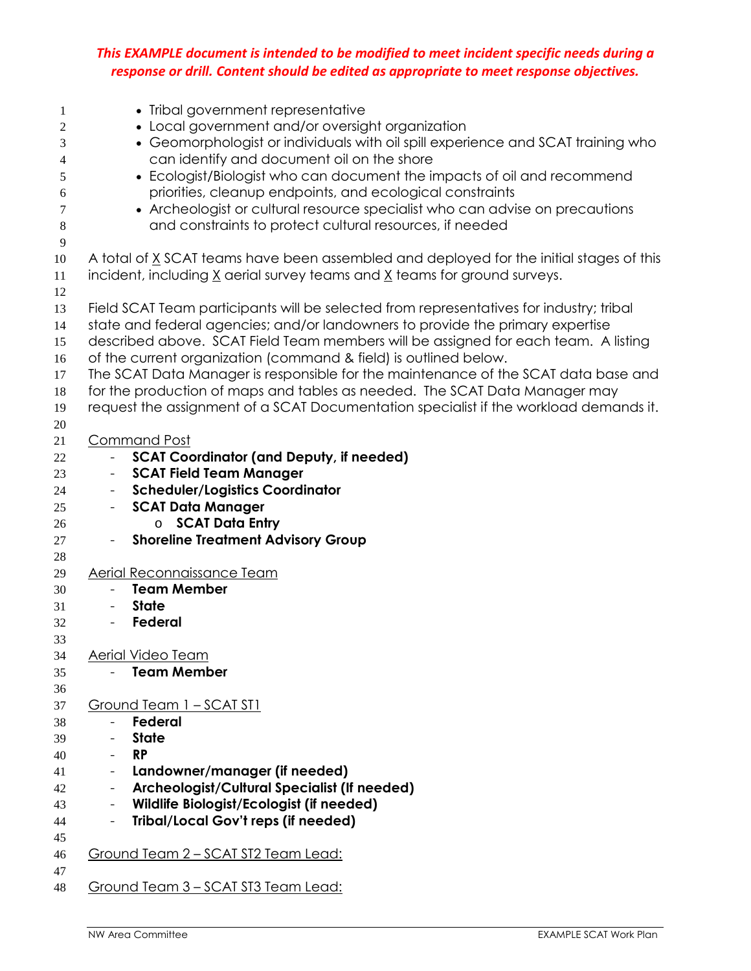| $\mathbf{1}$   | • Tribal government representative                                                                                                                     |
|----------------|--------------------------------------------------------------------------------------------------------------------------------------------------------|
| 2              | • Local government and/or oversight organization                                                                                                       |
| 3              | • Geomorphologist or individuals with oil spill experience and SCAT training who                                                                       |
| 4              | can identify and document oil on the shore<br>• Ecologist/Biologist who can document the impacts of oil and recommend                                  |
| 5<br>6         | priorities, cleanup endpoints, and ecological constraints                                                                                              |
| 7              | • Archeologist or cultural resource specialist who can advise on precautions                                                                           |
| $\,8\,$        | and constraints to protect cultural resources, if needed                                                                                               |
| $\overline{9}$ |                                                                                                                                                        |
| 10             | A total of X SCAT teams have been assembled and deployed for the initial stages of this                                                                |
| 11             | incident, including $\underline{X}$ aerial survey teams and $\underline{X}$ teams for ground surveys.                                                  |
| 12             |                                                                                                                                                        |
| 13             | Field SCAT Team participants will be selected from representatives for industry; tribal                                                                |
| 14             | state and federal agencies; and/or landowners to provide the primary expertise                                                                         |
| 15             | described above. SCAT Field Team members will be assigned for each team. A listing<br>of the current organization (command & field) is outlined below. |
| 16<br>17       | The SCAT Data Manager is responsible for the maintenance of the SCAT data base and                                                                     |
| 18             | for the production of maps and tables as needed. The SCAT Data Manager may                                                                             |
| 19             | request the assignment of a SCAT Documentation specialist if the workload demands it.                                                                  |
| 20             |                                                                                                                                                        |
| 21             | <b>Command Post</b>                                                                                                                                    |
| 22             | <b>SCAT Coordinator (and Deputy, if needed)</b>                                                                                                        |
| 23             | <b>SCAT Field Team Manager</b>                                                                                                                         |
| 24             | <b>Scheduler/Logistics Coordinator</b><br>$\blacksquare$                                                                                               |
| 25             | <b>SCAT Data Manager</b><br>$\sim$                                                                                                                     |
| 26             | <b>SCAT Data Entry</b>                                                                                                                                 |
| 27<br>28       | <b>Shoreline Treatment Advisory Group</b>                                                                                                              |
| 29             | Aerial Reconnaissance Team                                                                                                                             |
| 30             | <b>Team Member</b>                                                                                                                                     |
| 31             | <b>State</b>                                                                                                                                           |
| 32             | Federal                                                                                                                                                |
| 33             |                                                                                                                                                        |
| 34             | Aerial Video Team                                                                                                                                      |
| 35             | <b>Team Member</b>                                                                                                                                     |
| 36             |                                                                                                                                                        |
| 37             | Ground Team 1 - SCAT ST1<br>Federal                                                                                                                    |
| 38<br>39       | <b>State</b>                                                                                                                                           |
| 40             | <b>RP</b><br>$\overline{\phantom{a}}$                                                                                                                  |
| 41             | Landowner/manager (if needed)<br>$\overline{\phantom{a}}$                                                                                              |
| 42             | Archeologist/Cultural Specialist (If needed)                                                                                                           |
| 43             | Wildlife Biologist/Ecologist (if needed)                                                                                                               |
| 44             | <b>Tribal/Local Gov't reps (if needed)</b><br>$\overline{\phantom{a}}$                                                                                 |
| 45             |                                                                                                                                                        |
| 46             | Ground Team 2 - SCAT ST2 Team Lead:                                                                                                                    |
| 47             |                                                                                                                                                        |
| 48             | <u> Ground Team 3 - SCAT ST3 Team Lead:</u>                                                                                                            |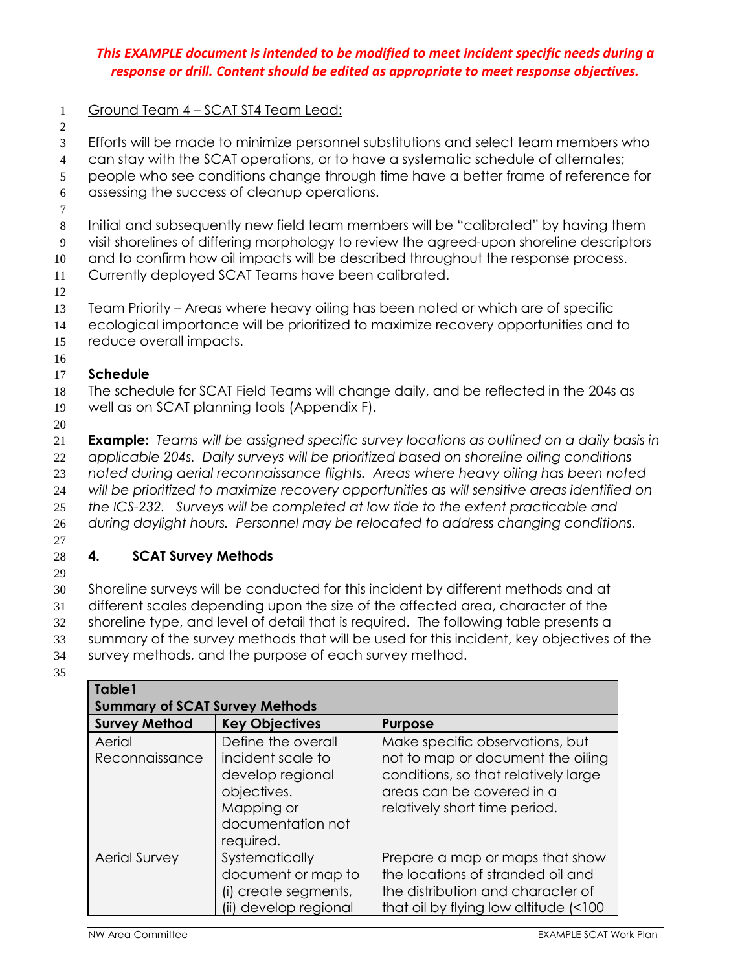- 1 Ground Team 4 SCAT ST4 Team Lead:
- 2

3 Efforts will be made to minimize personnel substitutions and select team members who

4 can stay with the SCAT operations, or to have a systematic schedule of alternates;

5 people who see conditions change through time have a better frame of reference for

6 assessing the success of cleanup operations.

7

8 Initial and subsequently new field team members will be "calibrated" by having them

9 visit shorelines of differing morphology to review the agreed-upon shoreline descriptors

10 and to confirm how oil impacts will be described throughout the response process.

- 11 Currently deployed SCAT Teams have been calibrated.
- 12

13 Team Priority – Areas where heavy oiling has been noted or which are of specific 14 ecological importance will be prioritized to maximize recovery opportunities and to

- 15 reduce overall impacts.
- 16

#### 17 **Schedule**

18 The schedule for SCAT Field Teams will change daily, and be reflected in the 204s as 19 well as on SCAT planning tools (Appendix F).

20

**Example:** *Teams will be assigned specific survey locations as outlined on a daily basis in applicable 204s. Daily surveys will be prioritized based on shoreline oiling conditions noted during aerial reconnaissance flights. Areas where heavy oiling has been noted will be prioritized to maximize recovery opportunities as will sensitive areas identified on the ICS-232. Surveys will be completed at low tide to the extent practicable and during daylight hours. Personnel may be relocated to address changing conditions.* 

27

### 28 **4. SCAT Survey Methods**

29

30 Shoreline surveys will be conducted for this incident by different methods and at

31 different scales depending upon the size of the affected area, character of the

32 shoreline type, and level of detail that is required. The following table presents a

33 summary of the survey methods that will be used for this incident, key objectives of the

34 survey methods, and the purpose of each survey method.

35

| Table1<br><b>Summary of SCAT Survey Methods</b> |                                                                                                                            |                                                                                                                                                                            |
|-------------------------------------------------|----------------------------------------------------------------------------------------------------------------------------|----------------------------------------------------------------------------------------------------------------------------------------------------------------------------|
| <b>Survey Method</b>                            | <b>Key Objectives</b>                                                                                                      | <b>Purpose</b>                                                                                                                                                             |
| Aerial<br>Reconnaissance                        | Define the overall<br>incident scale to<br>develop regional<br>objectives.<br>Mapping or<br>documentation not<br>required. | Make specific observations, but<br>not to map or document the oiling<br>conditions, so that relatively large<br>areas can be covered in a<br>relatively short time period. |
| <b>Aerial Survey</b>                            | Systematically<br>document or map to<br>(i) create segments,<br>(ii) develop regional                                      | Prepare a map or maps that show<br>the locations of stranded oil and<br>the distribution and character of<br>that oil by flying low altitude (<100)                        |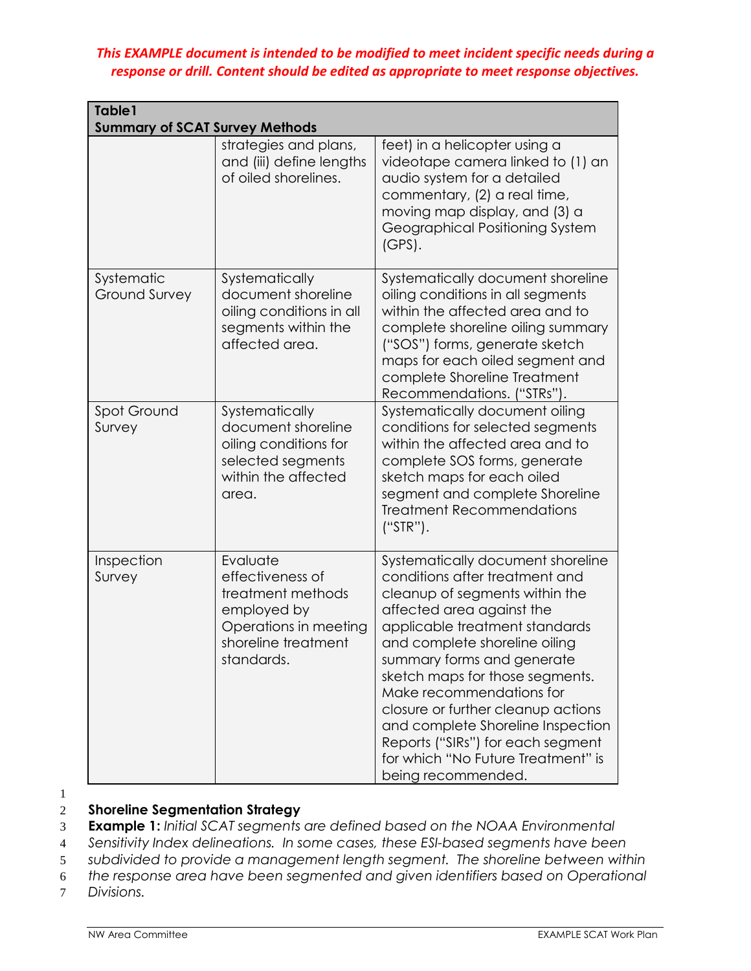| Table1<br><b>Summary of SCAT Survey Methods</b> |                                                                                                                                |                                                                                                                                                                                                                                                                                                                                                                                                                                                                                |
|-------------------------------------------------|--------------------------------------------------------------------------------------------------------------------------------|--------------------------------------------------------------------------------------------------------------------------------------------------------------------------------------------------------------------------------------------------------------------------------------------------------------------------------------------------------------------------------------------------------------------------------------------------------------------------------|
|                                                 | strategies and plans,<br>and (iii) define lengths<br>of oiled shorelines.                                                      | feet) in a helicopter using a<br>videotape camera linked to (1) an<br>audio system for a detailed<br>commentary, (2) a real time,<br>moving map display, and (3) a<br>Geographical Positioning System<br>$(GPS)$ .                                                                                                                                                                                                                                                             |
| Systematic<br><b>Ground Survey</b>              | Systematically<br>document shoreline<br>oiling conditions in all<br>segments within the<br>affected area.                      | Systematically document shoreline<br>oiling conditions in all segments<br>within the affected area and to<br>complete shoreline oiling summary<br>("SOS") forms, generate sketch<br>maps for each oiled segment and<br>complete Shoreline Treatment<br>Recommendations. ("STRs").                                                                                                                                                                                              |
| Spot Ground<br>Survey                           | Systematically<br>document shoreline<br>oiling conditions for<br>selected segments<br>within the affected<br>area.             | Systematically document oiling<br>conditions for selected segments<br>within the affected area and to<br>complete SOS forms, generate<br>sketch maps for each oiled<br>segment and complete Shoreline<br><b>Treatment Recommendations</b><br>$("STR")$ .                                                                                                                                                                                                                       |
| Inspection<br>Survey                            | Evaluate<br>effectiveness of<br>treatment methods<br>employed by<br>Operations in meeting<br>shoreline treatment<br>standards. | Systematically document shoreline<br>conditions after treatment and<br>cleanup of segments within the<br>affected area against the<br>applicable treatment standards<br>and complete shoreline oiling<br>summary forms and generate<br>sketch maps for those segments.<br>Make recommendations for<br>closure or further cleanup actions<br>and complete Shoreline Inspection<br>Reports ("SIRs") for each segment<br>for which "No Future Treatment" is<br>being recommended. |

1

#### 2 **Shoreline Segmentation Strategy**

3 **Example 1:** *Initial SCAT segments are defined based on the NOAA Environmental* 

4 *Sensitivity Index delineations. In some cases, these ESI-based segments have been* 

5 *subdivided to provide a management length segment. The shoreline between within* 

6 *the response area have been segmented and given identifiers based on Operational* 

7 *Divisions.*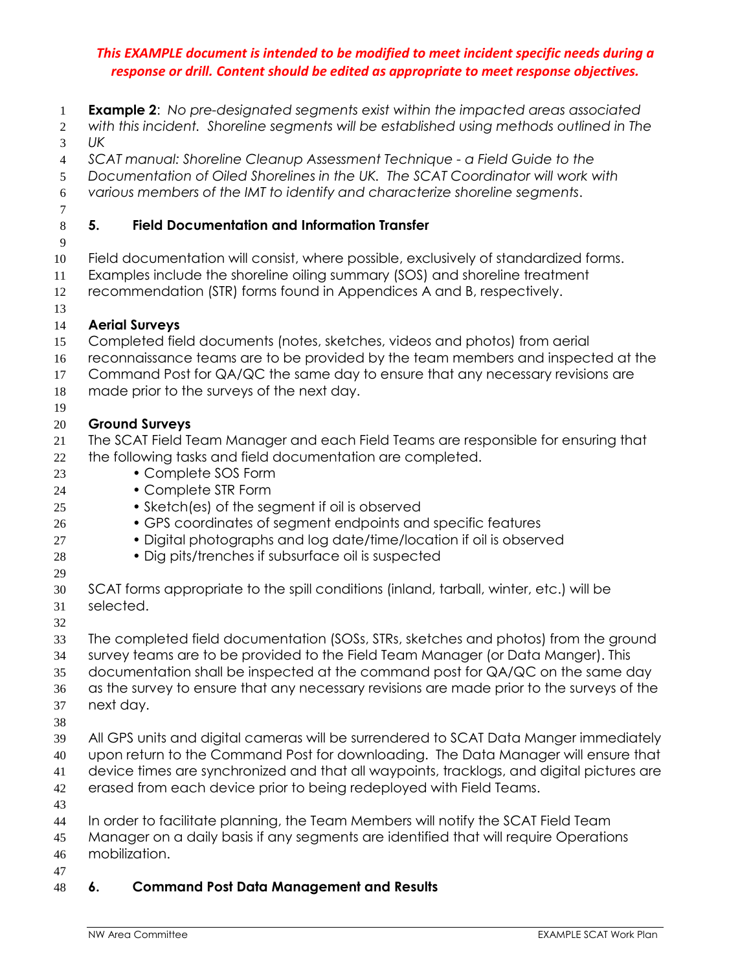- **Example 2**: *No pre-designated segments exist within the impacted areas associated*
- *with this incident. Shoreline segments will be established using methods outlined in The UK*
- *SCAT manual: Shoreline Cleanup Assessment Technique a Field Guide to the*
- *Documentation of Oiled Shorelines in the UK. The SCAT Coordinator will work with*
- *various members of the IMT to identify and characterize shoreline segments*.
- 

#### **5. Field Documentation and Information Transfer**

- 
- Field documentation will consist, where possible, exclusively of standardized forms.
- Examples include the shoreline oiling summary (SOS) and shoreline treatment
- recommendation (STR) forms found in Appendices A and B, respectively.
- 

#### **Aerial Surveys**

- Completed field documents (notes, sketches, videos and photos) from aerial
- reconnaissance teams are to be provided by the team members and inspected at the
- Command Post for QA/QC the same day to ensure that any necessary revisions are
- made prior to the surveys of the next day.
- 

#### **Ground Surveys**

- The SCAT Field Team Manager and each Field Teams are responsible for ensuring that the following tasks and field documentation are completed.
- Complete SOS Form
- Complete STR Form
- Sketch(es) of the segment if oil is observed
- GPS coordinates of segment endpoints and specific features
- Digital photographs and log date/time/location if oil is observed
- Dig pits/trenches if subsurface oil is suspected
- 
- SCAT forms appropriate to the spill conditions (inland, tarball, winter, etc.) will be selected.
- 
- The completed field documentation (SOSs, STRs, sketches and photos) from the ground survey teams are to be provided to the Field Team Manager (or Data Manger). This documentation shall be inspected at the command post for QA/QC on the same day as the survey to ensure that any necessary revisions are made prior to the surveys of the
- next day.
- 
- All GPS units and digital cameras will be surrendered to SCAT Data Manger immediately upon return to the Command Post for downloading. The Data Manager will ensure that device times are synchronized and that all waypoints, tracklogs, and digital pictures are
- erased from each device prior to being redeployed with Field Teams.
- In order to facilitate planning, the Team Members will notify the SCAT Field Team
- Manager on a daily basis if any segments are identified that will require Operations mobilization.
- 

#### **6. Command Post Data Management and Results**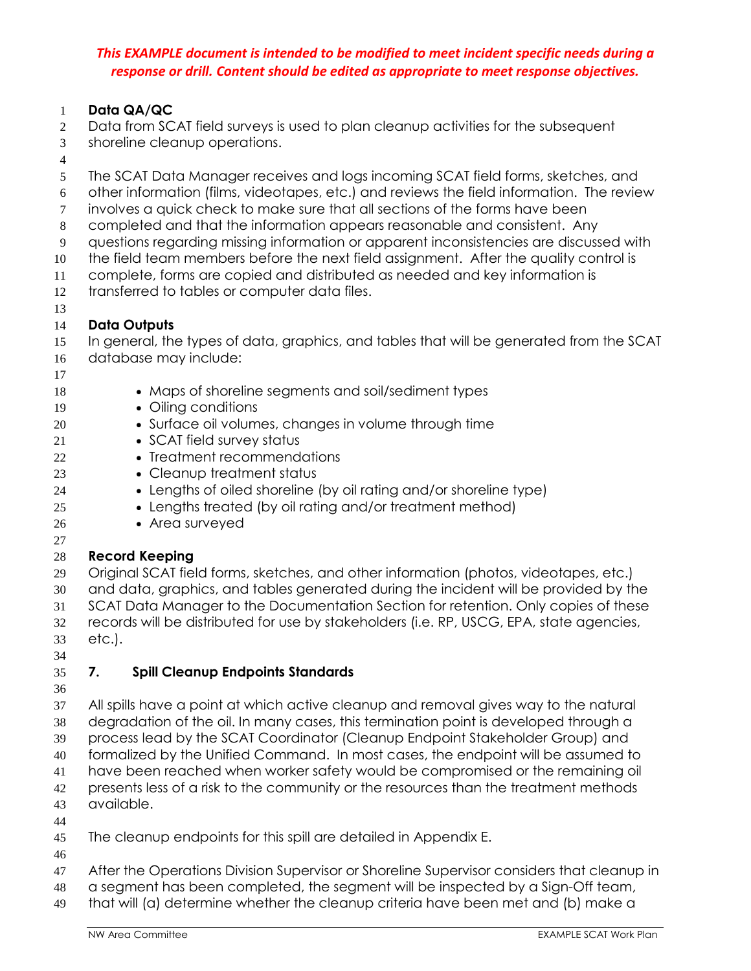#### **Data QA/QC**

- Data from SCAT field surveys is used to plan cleanup activities for the subsequent
- shoreline cleanup operations.
- 
- The SCAT Data Manager receives and logs incoming SCAT field forms, sketches, and
- other information (films, videotapes, etc.) and reviews the field information. The review
- involves a quick check to make sure that all sections of the forms have been
- completed and that the information appears reasonable and consistent. Any
- questions regarding missing information or apparent inconsistencies are discussed with
- the field team members before the next field assignment. After the quality control is
- complete, forms are copied and distributed as needed and key information is
- transferred to tables or computer data files.
- 

#### **Data Outputs**

In general, the types of data, graphics, and tables that will be generated from the SCAT

- database may include:
- 
- Maps of shoreline segments and soil/sediment types
- 19 Oiling conditions
- Surface oil volumes, changes in volume through time
- 21 SCAT field survey status
- 22 Treatment recommendations
- **Cleanup treatment status**
- Lengths of oiled shoreline (by oil rating and/or shoreline type)
- Lengths treated (by oil rating and/or treatment method)
- 26 Area surveyed
- 

#### **Record Keeping**

Original SCAT field forms, sketches, and other information (photos, videotapes, etc.)

- and data, graphics, and tables generated during the incident will be provided by the SCAT Data Manager to the Documentation Section for retention. Only copies of these
- records will be distributed for use by stakeholders (i.e. RP, USCG, EPA, state agencies, etc.).
- 

### **7. Spill Cleanup Endpoints Standards**

- 
- All spills have a point at which active cleanup and removal gives way to the natural degradation of the oil. In many cases, this termination point is developed through a process lead by the SCAT Coordinator (Cleanup Endpoint Stakeholder Group) and formalized by the Unified Command. In most cases, the endpoint will be assumed to have been reached when worker safety would be compromised or the remaining oil 42 presents less of a risk to the community or the resources than the treatment methods available.
- 

The cleanup endpoints for this spill are detailed in Appendix E.

- 
- After the Operations Division Supervisor or Shoreline Supervisor considers that cleanup in
- a segment has been completed, the segment will be inspected by a Sign-Off team,
- that will (a) determine whether the cleanup criteria have been met and (b) make a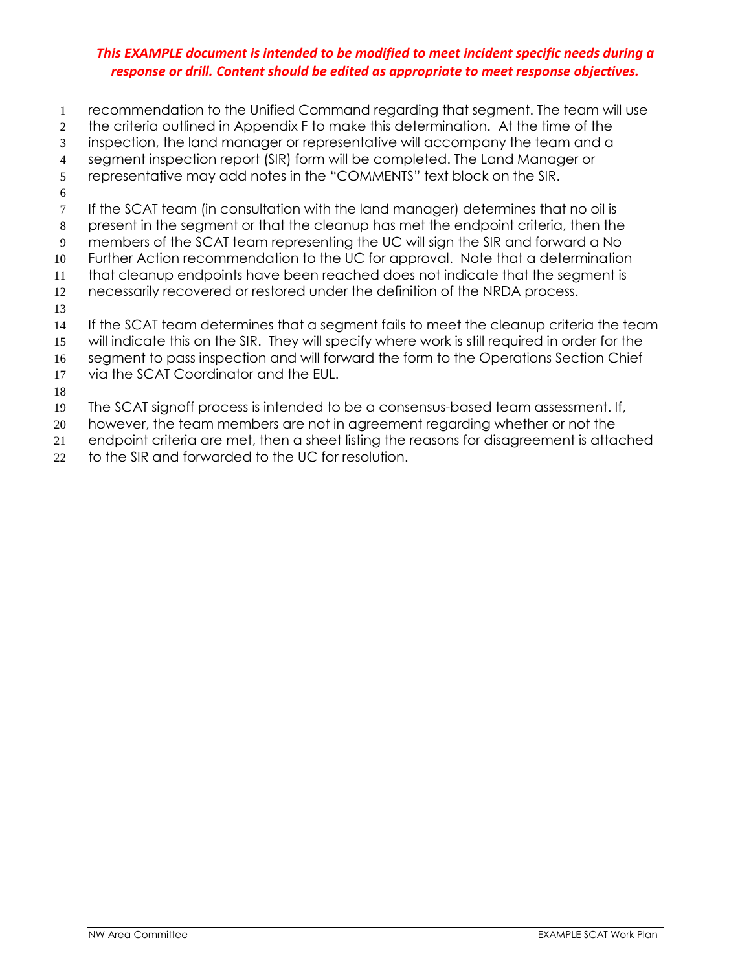- recommendation to the Unified Command regarding that segment. The team will use the criteria outlined in Appendix F to make this determination. At the time of the inspection, the land manager or representative will accompany the team and a segment inspection report (SIR) form will be completed. The Land Manager or representative may add notes in the "COMMENTS" text block on the SIR. 7 If the SCAT team (in consultation with the land manager) determines that no oil is present in the segment or that the cleanup has met the endpoint criteria, then the members of the SCAT team representing the UC will sign the SIR and forward a No Further Action recommendation to the UC for approval. Note that a determination that cleanup endpoints have been reached does not indicate that the segment is necessarily recovered or restored under the definition of the NRDA process. If the SCAT team determines that a segment fails to meet the cleanup criteria the team will indicate this on the SIR. They will specify where work is still required in order for the 16 segment to pass inspection and will forward the form to the Operations Section Chief via the SCAT Coordinator and the EUL.
- 
- The SCAT signoff process is intended to be a consensus-based team assessment. If,
- however, the team members are not in agreement regarding whether or not the
- endpoint criteria are met, then a sheet listing the reasons for disagreement is attached
- 22 to the SIR and forwarded to the UC for resolution.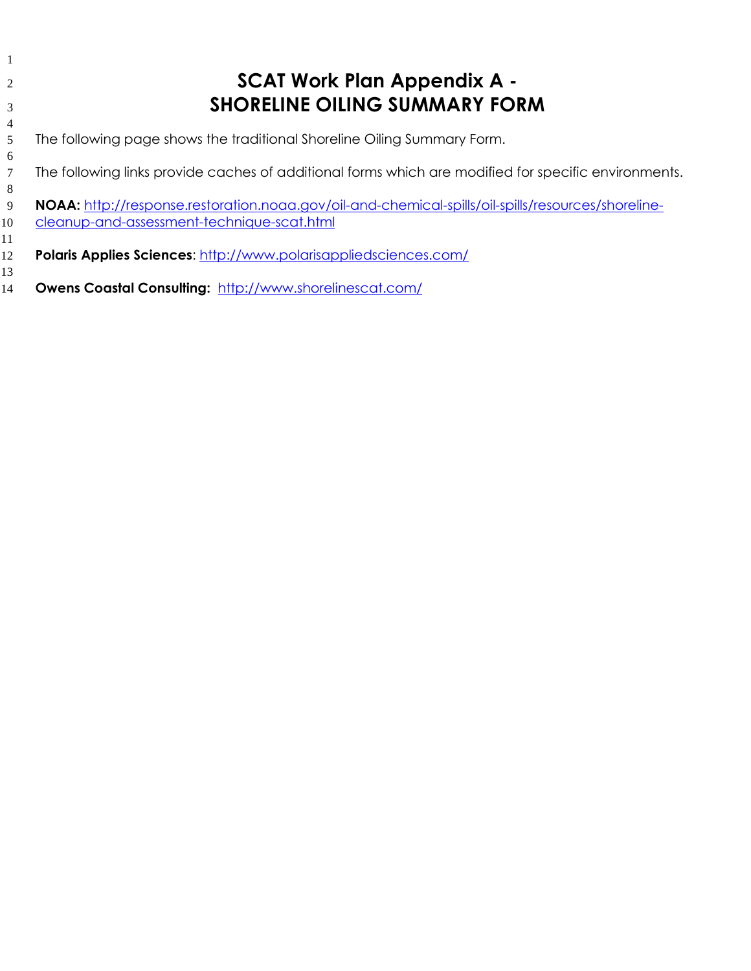| 2               | <b>SCAT Work Plan Appendix A -</b>                                                                   |
|-----------------|------------------------------------------------------------------------------------------------------|
| 3               | <b>SHORELINE OILING SUMMARY FORM</b>                                                                 |
| 4               |                                                                                                      |
| 5               | The following page shows the traditional Shoreline Oiling Summary Form.                              |
| 6               |                                                                                                      |
| $7\phantom{.0}$ | The following links provide caches of additional forms which are modified for specific environments. |
| 8               |                                                                                                      |
| 9               | NOAA: http://response.restoration.noaa.gov/oil-and-chemical-spills/oil-spills/resources/shoreline-   |
| 10              | cleanup-and-assessment-technique-scat.html                                                           |
| 11              |                                                                                                      |
| 12              | <b>Polaris Applies Sciences: http://www.polarisappliedsciences.com/</b>                              |
| 13              |                                                                                                      |
| 14              | <b>Owens Coastal Consulting: http://www.shorelinescat.com/</b>                                       |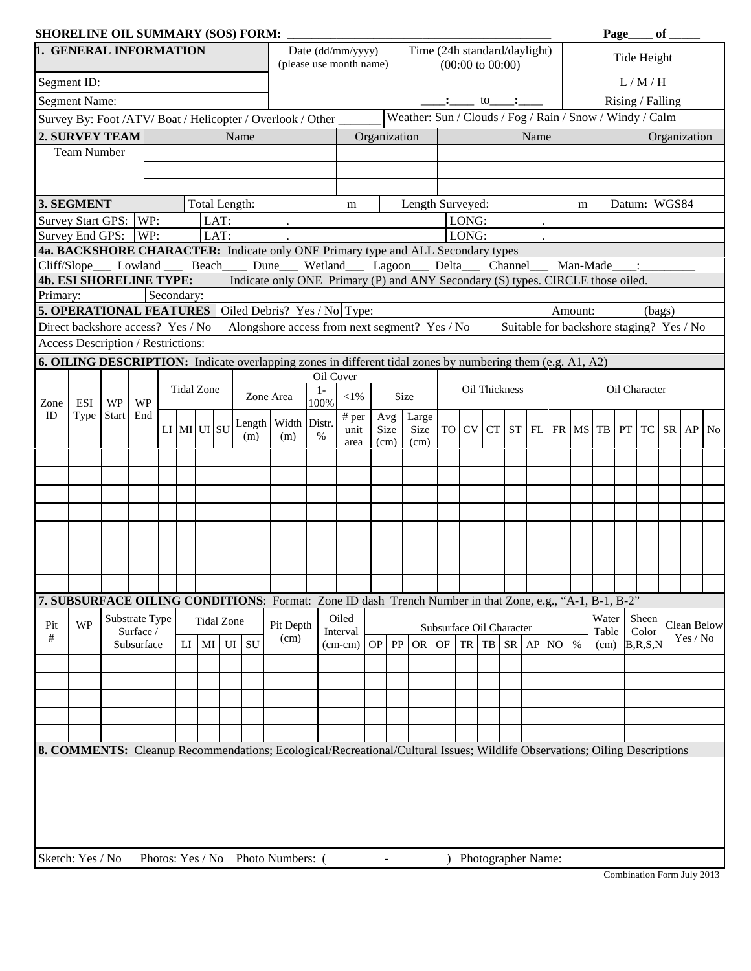| <b>SHORELINE OIL SUMMARY (SOS) FORM:</b> |                                          |              |                         |            |                   |              |           |                                                                                                                           |               |                         |              |                          |                                                          |                          |                |                                        |         |      |           |         |          | Page |                                                                | $\overline{\phantom{a}}$ of $\overline{\phantom{a}}$ |          |             |
|------------------------------------------|------------------------------------------|--------------|-------------------------|------------|-------------------|--------------|-----------|---------------------------------------------------------------------------------------------------------------------------|---------------|-------------------------|--------------|--------------------------|----------------------------------------------------------|--------------------------|----------------|----------------------------------------|---------|------|-----------|---------|----------|------|----------------------------------------------------------------|------------------------------------------------------|----------|-------------|
| 1. GENERAL INFORMATION                   |                                          |              |                         |            |                   |              |           |                                                                                                                           |               | Date (dd/mm/yyyy)       |              |                          | Time (24h standard/daylight)                             |                          |                |                                        |         |      |           |         |          |      | Tide Height                                                    |                                                      |          |             |
|                                          |                                          |              |                         |            |                   |              |           |                                                                                                                           |               | (please use month name) |              |                          |                                                          |                          |                | $(00:00 \text{ to } 00:00)$            |         |      |           |         |          |      |                                                                |                                                      |          |             |
|                                          | Segment ID:                              |              |                         |            |                   |              |           |                                                                                                                           |               |                         |              |                          |                                                          |                          |                |                                        |         |      |           |         |          |      | L/M/H                                                          |                                                      |          |             |
|                                          | <b>Segment Name:</b>                     |              |                         |            |                   |              |           |                                                                                                                           |               |                         |              |                          |                                                          |                          |                | $\cdot \cdot \cdot$ to $\cdot \cdot$ . |         |      |           |         |          |      | Rising / Falling                                               |                                                      |          |             |
|                                          |                                          |              |                         |            |                   |              |           | Survey By: Foot /ATV/ Boat / Helicopter / Overlook / Other _                                                              |               |                         |              |                          | Weather: Sun / Clouds / Fog / Rain / Snow / Windy / Calm |                          |                |                                        |         |      |           |         |          |      |                                                                |                                                      |          |             |
|                                          | 2. SURVEY TEAM                           |              |                         |            |                   |              | Name      |                                                                                                                           |               |                         | Organization |                          |                                                          |                          |                |                                        |         | Name |           |         |          |      |                                                                | Organization                                         |          |             |
|                                          | <b>Team Number</b>                       |              |                         |            |                   |              |           |                                                                                                                           |               |                         |              |                          |                                                          |                          |                |                                        |         |      |           |         |          |      |                                                                |                                                      |          |             |
|                                          |                                          |              |                         |            |                   |              |           |                                                                                                                           |               |                         |              |                          |                                                          |                          |                |                                        |         |      |           |         |          |      |                                                                |                                                      |          |             |
|                                          |                                          |              |                         |            |                   |              |           |                                                                                                                           |               |                         |              |                          |                                                          |                          |                |                                        |         |      |           |         |          |      |                                                                |                                                      |          |             |
|                                          | 3. SEGMENT                               |              |                         |            | Total Length:     |              |           |                                                                                                                           |               | m                       |              |                          | Length Surveyed:                                         |                          |                |                                        |         |      |           | m       |          |      | Datum: WGS84                                                   |                                                      |          |             |
|                                          | Survey Start GPS: WP:<br>Survey End GPS: |              | WP:                     |            |                   | LAT:<br>LAT: |           |                                                                                                                           |               |                         |              |                          |                                                          |                          | LONG:<br>LONG: |                                        |         |      |           |         |          |      |                                                                |                                                      |          |             |
|                                          |                                          |              |                         |            |                   |              |           | 4a. BACKSHORE CHARACTER: Indicate only ONE Primary type and ALL Secondary types                                           |               |                         |              |                          |                                                          |                          |                |                                        |         |      |           |         |          |      |                                                                |                                                      |          |             |
| Cliff/Slope                              |                                          |              | Lowland                 |            | <b>Beach</b>      |              | Dune      |                                                                                                                           | Wetland       |                         |              | Lagoon                   |                                                          | Delta                    |                |                                        | Channel |      |           |         | Man-Made |      | $\ddot{\cdot}$                                                 |                                                      |          |             |
|                                          | <b>4b. ESI SHORELINE TYPE:</b>           |              |                         |            |                   |              |           | Indicate only ONE Primary (P) and ANY Secondary (S) types. CIRCLE those oiled.                                            |               |                         |              |                          |                                                          |                          |                |                                        |         |      |           |         |          |      |                                                                |                                                      |          |             |
| Primary:                                 |                                          |              |                         | Secondary: |                   |              |           |                                                                                                                           |               |                         |              |                          |                                                          |                          |                |                                        |         |      |           |         |          |      |                                                                |                                                      |          |             |
|                                          | <b>5. OPERATIONAL FEATURES</b>           |              |                         |            |                   |              |           | Oiled Debris? Yes / No Type:                                                                                              |               |                         |              |                          |                                                          |                          |                |                                        |         |      |           | Amount: |          |      | (bags)                                                         |                                                      |          |             |
|                                          | Direct backshore access? Yes / No        |              |                         |            |                   |              |           | Alongshore access from next segment? $Yes$ / $No$                                                                         |               |                         |              |                          |                                                          |                          |                |                                        |         |      |           |         |          |      | Suitable for backshore staging? Yes / No                       |                                                      |          |             |
|                                          | Access Description / Restrictions:       |              |                         |            |                   |              |           |                                                                                                                           |               |                         |              |                          |                                                          |                          |                |                                        |         |      |           |         |          |      |                                                                |                                                      |          |             |
|                                          |                                          |              |                         |            |                   |              |           | <b>6. OILING DESCRIPTION:</b> Indicate overlapping zones in different tidal zones by numbering them (e.g. A1, A2)         |               |                         |              |                          |                                                          |                          |                |                                        |         |      |           |         |          |      |                                                                |                                                      |          |             |
|                                          |                                          |              |                         |            |                   |              |           |                                                                                                                           |               | Oil Cover               |              |                          |                                                          |                          |                |                                        |         |      |           |         |          |      |                                                                |                                                      |          |             |
| Zone                                     | ESI                                      | <b>WP</b>    | <b>WP</b>               |            | <b>Tidal Zone</b> |              | Zone Area |                                                                                                                           | $1 -$<br>100% | $<$ 1%                  |              |                          | Size                                                     |                          |                | Oil Thickness                          |         |      |           |         |          |      | Oil Character                                                  |                                                      |          |             |
| ID                                       | Type                                     | <b>Start</b> | End                     |            |                   |              |           | Length Width Distr.                                                                                                       |               | # per                   |              | Avg <sub>1</sub>         | Large                                                    |                          |                |                                        |         |      |           |         |          |      |                                                                |                                                      |          |             |
|                                          |                                          |              |                         |            | $LI$ MI $UI$ SU   |              | (m)       | (m)                                                                                                                       | $\%$          | unit                    |              | Size                     | Size                                                     |                          |                |                                        |         |      |           |         |          |      | TO $CV$ $CT$ $ST$ $FL$ $FR$ $MS$ $TB$ $PT$ $TC$ $SR$ $AP$ $No$ |                                                      |          |             |
|                                          |                                          |              |                         |            |                   |              |           |                                                                                                                           |               | area                    |              | (cm)                     | (cm)                                                     |                          |                |                                        |         |      |           |         |          |      |                                                                |                                                      |          |             |
|                                          |                                          |              |                         |            |                   |              |           |                                                                                                                           |               |                         |              |                          |                                                          |                          |                |                                        |         |      |           |         |          |      |                                                                |                                                      |          |             |
|                                          |                                          |              |                         |            |                   |              |           |                                                                                                                           |               |                         |              |                          |                                                          |                          |                |                                        |         |      |           |         |          |      |                                                                |                                                      |          |             |
|                                          |                                          |              |                         |            |                   |              |           |                                                                                                                           |               |                         |              |                          |                                                          |                          |                |                                        |         |      |           |         |          |      |                                                                |                                                      |          |             |
|                                          |                                          |              |                         |            |                   |              |           |                                                                                                                           |               |                         |              |                          |                                                          |                          |                |                                        |         |      |           |         |          |      |                                                                |                                                      |          |             |
|                                          |                                          |              |                         |            |                   |              |           |                                                                                                                           |               |                         |              |                          |                                                          |                          |                |                                        |         |      |           |         |          |      |                                                                |                                                      |          |             |
|                                          |                                          |              |                         |            |                   |              |           |                                                                                                                           |               |                         |              |                          |                                                          |                          |                |                                        |         |      |           |         |          |      |                                                                |                                                      |          |             |
|                                          |                                          |              |                         |            |                   |              |           |                                                                                                                           |               |                         |              |                          |                                                          |                          |                |                                        |         |      |           |         |          |      |                                                                |                                                      |          |             |
|                                          |                                          |              |                         |            |                   |              |           |                                                                                                                           |               |                         |              |                          |                                                          |                          |                |                                        |         |      |           |         |          |      |                                                                |                                                      |          |             |
|                                          |                                          |              |                         |            |                   |              |           | 7. SUBSURFACE OILING CONDITIONS: Format: Zone ID dash Trench Number in that Zone, e.g., "A-1, B-1, B-2"                   |               |                         |              |                          |                                                          |                          |                |                                        |         |      |           |         |          |      |                                                                |                                                      |          |             |
| Pit                                      | <b>WP</b>                                |              | Substrate Type          |            | <b>Tidal Zone</b> |              |           | Pit Depth                                                                                                                 |               | Oiled                   |              |                          |                                                          |                          |                |                                        |         |      |           |         | Water    |      | Sheen                                                          |                                                      |          | Clean Below |
| $^{\#}$                                  |                                          |              | Surface /<br>Subsurface |            |                   |              | SU        | (cm)                                                                                                                      |               | Interval                |              |                          |                                                          | Subsurface Oil Character |                |                                        |         |      |           |         | Table    |      | Color                                                          |                                                      | Yes / No |             |
|                                          |                                          |              |                         | LI         | MI                | UI           |           |                                                                                                                           |               | $(cm-cm)$               | <b>OP</b>    | PP                       | OR OF                                                    |                          |                | $TR$ $TB$ $SR$                         |         | AP   | <b>NO</b> | $\%$    | (cm)     |      | B, R, S, N                                                     |                                                      |          |             |
|                                          |                                          |              |                         |            |                   |              |           |                                                                                                                           |               |                         |              |                          |                                                          |                          |                |                                        |         |      |           |         |          |      |                                                                |                                                      |          |             |
|                                          |                                          |              |                         |            |                   |              |           |                                                                                                                           |               |                         |              |                          |                                                          |                          |                |                                        |         |      |           |         |          |      |                                                                |                                                      |          |             |
|                                          |                                          |              |                         |            |                   |              |           |                                                                                                                           |               |                         |              |                          |                                                          |                          |                |                                        |         |      |           |         |          |      |                                                                |                                                      |          |             |
|                                          |                                          |              |                         |            |                   |              |           |                                                                                                                           |               |                         |              |                          |                                                          |                          |                |                                        |         |      |           |         |          |      |                                                                |                                                      |          |             |
|                                          |                                          |              |                         |            |                   |              |           |                                                                                                                           |               |                         |              |                          |                                                          |                          |                |                                        |         |      |           |         |          |      |                                                                |                                                      |          |             |
|                                          |                                          |              |                         |            |                   |              |           | 8. COMMENTS: Cleanup Recommendations; Ecological/Recreational/Cultural Issues; Wildlife Observations; Oiling Descriptions |               |                         |              |                          |                                                          |                          |                |                                        |         |      |           |         |          |      |                                                                |                                                      |          |             |
|                                          |                                          |              |                         |            |                   |              |           |                                                                                                                           |               |                         |              |                          |                                                          |                          |                |                                        |         |      |           |         |          |      |                                                                |                                                      |          |             |
|                                          |                                          |              |                         |            |                   |              |           |                                                                                                                           |               |                         |              |                          |                                                          |                          |                |                                        |         |      |           |         |          |      |                                                                |                                                      |          |             |
|                                          |                                          |              |                         |            |                   |              |           |                                                                                                                           |               |                         |              |                          |                                                          |                          |                |                                        |         |      |           |         |          |      |                                                                |                                                      |          |             |
|                                          |                                          |              |                         |            |                   |              |           |                                                                                                                           |               |                         |              |                          |                                                          |                          |                |                                        |         |      |           |         |          |      |                                                                |                                                      |          |             |
|                                          |                                          |              |                         |            |                   |              |           |                                                                                                                           |               |                         |              |                          |                                                          |                          |                |                                        |         |      |           |         |          |      |                                                                |                                                      |          |             |
| Sketch: Yes / No                         |                                          |              |                         |            |                   |              |           | Photos: Yes / No Photo Numbers: (                                                                                         |               |                         |              | $\overline{\phantom{a}}$ |                                                          |                          |                | Photographer Name:                     |         |      |           |         |          |      |                                                                |                                                      |          |             |
|                                          |                                          |              |                         |            |                   |              |           |                                                                                                                           |               |                         |              |                          |                                                          |                          |                |                                        |         |      |           |         |          |      | Combination Form July 2013                                     |                                                      |          |             |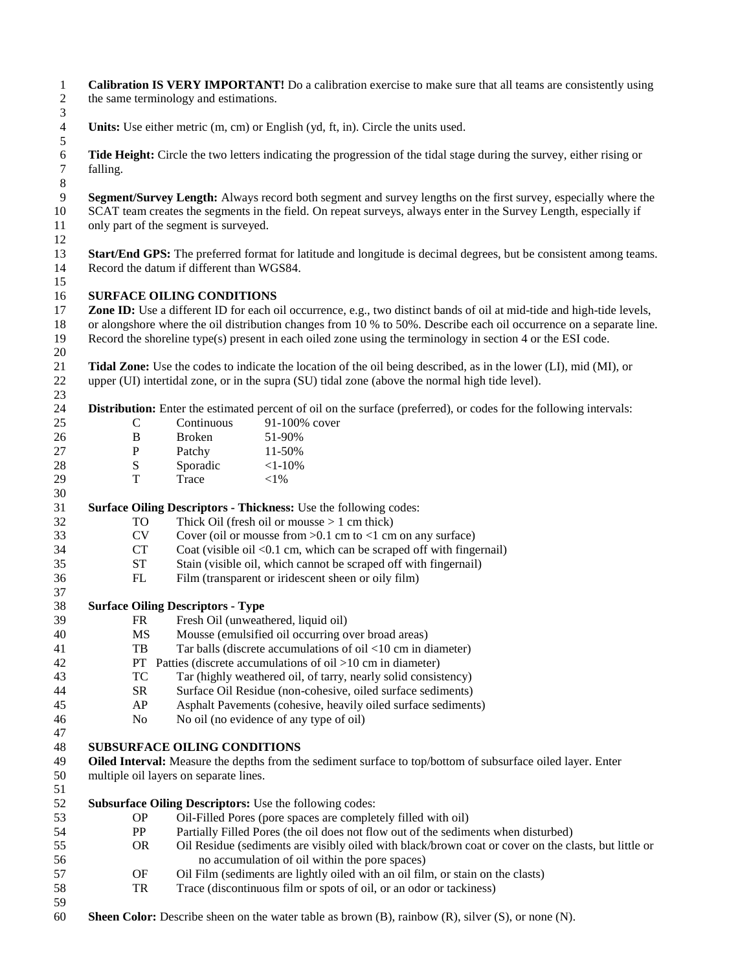| $\mathbf{1}$<br>$\overline{c}$<br>3   |                    | the same terminology and estimations.     | <b>Calibration IS VERY IMPORTANT!</b> Do a calibration exercise to make sure that all teams are consistently using                                                                                                                                   |
|---------------------------------------|--------------------|-------------------------------------------|------------------------------------------------------------------------------------------------------------------------------------------------------------------------------------------------------------------------------------------------------|
| $\overline{4}$<br>$\sqrt{5}$          |                    |                                           | Units: Use either metric (m, cm) or English (yd, ft, in). Circle the units used.                                                                                                                                                                     |
| 6<br>$\tau$                           | falling.           |                                           | Tide Height: Circle the two letters indicating the progression of the tidal stage during the survey, either rising or                                                                                                                                |
| $\,8\,$<br>$\overline{9}$<br>10<br>11 |                    | only part of the segment is surveyed.     | Segment/Survey Length: Always record both segment and survey lengths on the first survey, especially where the<br>SCAT team creates the segments in the field. On repeat surveys, always enter in the Survey Length, especially if                   |
| 12<br>13                              |                    |                                           | <b>Start/End GPS:</b> The preferred format for latitude and longitude is decimal degrees, but be consistent among teams.                                                                                                                             |
| 14<br>15                              |                    | Record the datum if different than WGS84. |                                                                                                                                                                                                                                                      |
| 16                                    |                    | <b>SURFACE OILING CONDITIONS</b>          |                                                                                                                                                                                                                                                      |
| 17<br>18                              |                    |                                           | <b>Zone ID:</b> Use a different ID for each oil occurrence, e.g., two distinct bands of oil at mid-tide and high-tide levels,<br>or alongshore where the oil distribution changes from 10 % to 50%. Describe each oil occurrence on a separate line. |
| 19<br>20                              |                    |                                           | Record the shoreline type(s) present in each oiled zone using the terminology in section 4 or the ESI code.                                                                                                                                          |
| 21                                    |                    |                                           | <b>Tidal Zone:</b> Use the codes to indicate the location of the oil being described, as in the lower (LI), mid (MI), or                                                                                                                             |
| 22<br>23                              |                    |                                           | upper (UI) intertidal zone, or in the supra (SU) tidal zone (above the normal high tide level).                                                                                                                                                      |
| 24                                    |                    |                                           | Distribution: Enter the estimated percent of oil on the surface (preferred), or codes for the following intervals:                                                                                                                                   |
| 25                                    | $\mathsf{C}$       | Continuous                                | 91-100% cover                                                                                                                                                                                                                                        |
| 26                                    | B                  | Broken                                    | 51-90%                                                                                                                                                                                                                                               |
| 27                                    | ${\bf P}$          | Patchy                                    | 11-50%                                                                                                                                                                                                                                               |
| 28                                    | ${\bf S}$          | Sporadic                                  | $<1-10%$                                                                                                                                                                                                                                             |
| 29                                    | T                  | Trace                                     | $<$ 1%                                                                                                                                                                                                                                               |
| 30                                    |                    |                                           |                                                                                                                                                                                                                                                      |
| 31                                    |                    |                                           | Surface Oiling Descriptors - Thickness: Use the following codes:                                                                                                                                                                                     |
| 32                                    | TO                 |                                           | Thick Oil (fresh oil or mousse $> 1$ cm thick)                                                                                                                                                                                                       |
| 33                                    | <b>CV</b>          |                                           | Cover (oil or mousse from $>0.1$ cm to <1 cm on any surface)                                                                                                                                                                                         |
| 34                                    | CT                 |                                           | Coat (visible oil <0.1 cm, which can be scraped off with fingernail)                                                                                                                                                                                 |
| 35                                    | ${\cal S}{\cal T}$ |                                           | Stain (visible oil, which cannot be scraped off with fingernail)                                                                                                                                                                                     |
| 36                                    | FL                 |                                           | Film (transparent or iridescent sheen or oily film)                                                                                                                                                                                                  |
| 37                                    |                    |                                           |                                                                                                                                                                                                                                                      |
| 38                                    |                    | <b>Surface Oiling Descriptors - Type</b>  |                                                                                                                                                                                                                                                      |
| 39                                    | FR                 |                                           | Fresh Oil (unweathered, liquid oil)                                                                                                                                                                                                                  |
| 40                                    | <b>MS</b>          |                                           | Mousse (emulsified oil occurring over broad areas)                                                                                                                                                                                                   |
| 41                                    | TB                 |                                           | Tar balls (discrete accumulations of oil $<$ 10 cm in diameter)                                                                                                                                                                                      |
| 42                                    |                    |                                           | PT Patties (discrete accumulations of oil $>10$ cm in diameter)                                                                                                                                                                                      |
| 43                                    | TC                 |                                           | Tar (highly weathered oil, of tarry, nearly solid consistency)                                                                                                                                                                                       |
| 44                                    | <b>SR</b>          |                                           | Surface Oil Residue (non-cohesive, oiled surface sediments)                                                                                                                                                                                          |
| 45                                    | AP                 |                                           | Asphalt Pavements (cohesive, heavily oiled surface sediments)                                                                                                                                                                                        |
| 46                                    | N <sub>o</sub>     |                                           | No oil (no evidence of any type of oil)                                                                                                                                                                                                              |
| 47<br>48                              |                    | <b>SUBSURFACE OILING CONDITIONS</b>       |                                                                                                                                                                                                                                                      |
| 49                                    |                    |                                           | Oiled Interval: Measure the depths from the sediment surface to top/bottom of subsurface oiled layer. Enter                                                                                                                                          |
| 50<br>51                              |                    | multiple oil layers on separate lines.    |                                                                                                                                                                                                                                                      |
| 52                                    |                    |                                           | <b>Subsurface Oiling Descriptors:</b> Use the following codes:                                                                                                                                                                                       |
| 53                                    | <b>OP</b>          |                                           | Oil-Filled Pores (pore spaces are completely filled with oil)                                                                                                                                                                                        |
| 54                                    | PP                 |                                           | Partially Filled Pores (the oil does not flow out of the sediments when disturbed)                                                                                                                                                                   |
| 55                                    | <b>OR</b>          |                                           |                                                                                                                                                                                                                                                      |
|                                       |                    |                                           | Oil Residue (sediments are visibly oiled with black/brown coat or cover on the clasts, but little or                                                                                                                                                 |
| 56                                    |                    |                                           | no accumulation of oil within the pore spaces)                                                                                                                                                                                                       |
| 57                                    | OF                 |                                           | Oil Film (sediments are lightly oiled with an oil film, or stain on the clasts)                                                                                                                                                                      |
| 58                                    | TR                 |                                           | Trace (discontinuous film or spots of oil, or an odor or tackiness)                                                                                                                                                                                  |
| 59                                    |                    |                                           |                                                                                                                                                                                                                                                      |
| 60                                    |                    |                                           | <b>Sheen Color:</b> Describe sheen on the water table as brown (B), rainbow (R), silver (S), or none (N).                                                                                                                                            |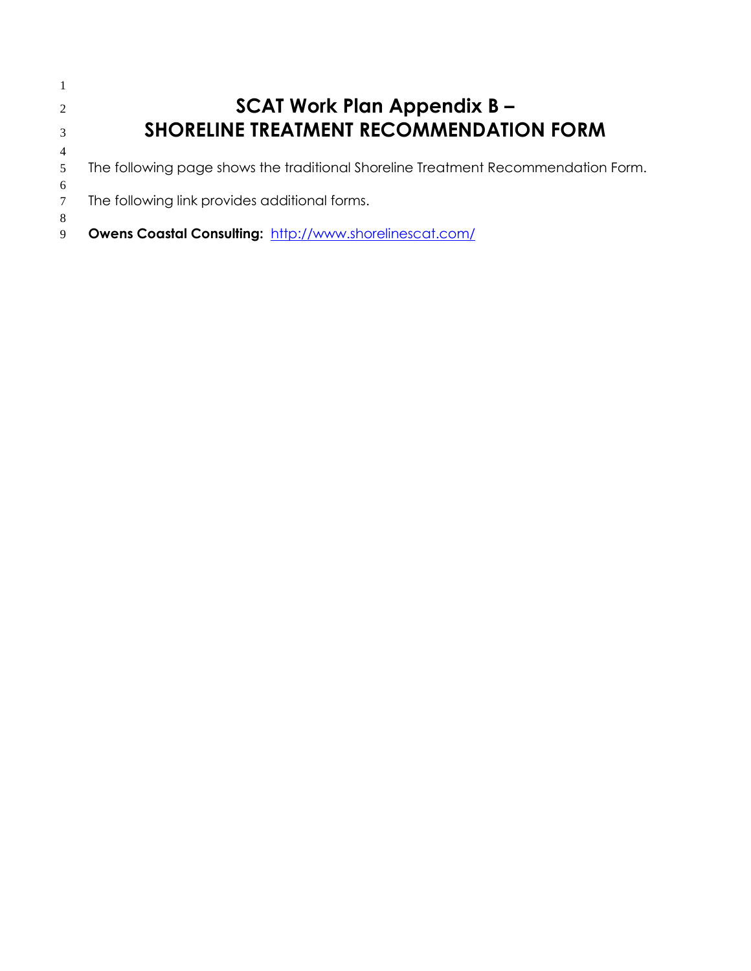| 2              | <b>SCAT Work Plan Appendix B -</b>                                                |
|----------------|-----------------------------------------------------------------------------------|
| 3              | <b>SHORELINE TREATMENT RECOMMENDATION FORM</b>                                    |
| $\overline{4}$ |                                                                                   |
| 5              | The following page shows the traditional Shoreline Treatment Recommendation Form. |
| 6              |                                                                                   |
|                | The following link provides additional forms.                                     |
| 8              |                                                                                   |
| 9              | Owens Coastal Consulting: http://www.shorelinescat.com/                           |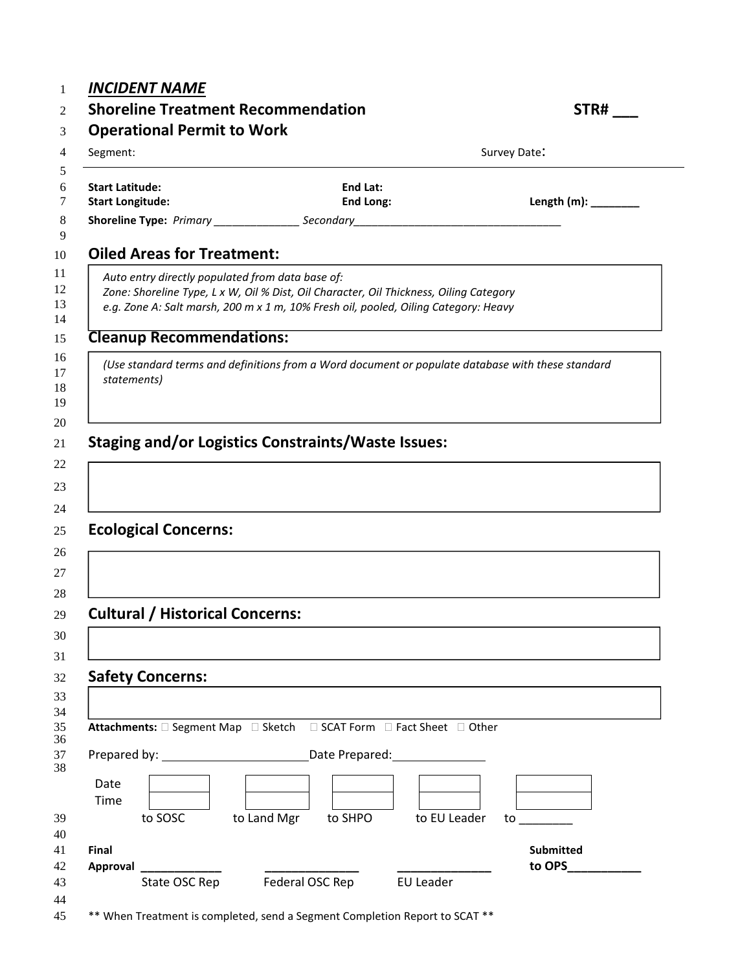## *INCIDENT NAME*

## **Shoreline Treatment Recommendation**

| '''N# | ш<br>٠ |  |
|-------|--------|--|
|       |        |  |

| Segment:                                          |                                                                                                                                                                               | Survey Date:               |
|---------------------------------------------------|-------------------------------------------------------------------------------------------------------------------------------------------------------------------------------|----------------------------|
| <b>Start Latitude:</b><br><b>Start Longitude:</b> | End Lat:<br>End Long:                                                                                                                                                         | Length $(m)$ : ________    |
|                                                   |                                                                                                                                                                               |                            |
| <b>Oiled Areas for Treatment:</b>                 |                                                                                                                                                                               |                            |
| Auto entry directly populated from data base of:  | Zone: Shoreline Type, L x W, Oil % Dist, Oil Character, Oil Thickness, Oiling Category<br>e.g. Zone A: Salt marsh, 200 m x 1 m, 10% Fresh oil, pooled, Oiling Category: Heavy |                            |
| <b>Cleanup Recommendations:</b>                   |                                                                                                                                                                               |                            |
| statements)                                       | (Use standard terms and definitions from a Word document or populate database with these standard                                                                             |                            |
|                                                   | <b>Staging and/or Logistics Constraints/Waste Issues:</b>                                                                                                                     |                            |
|                                                   |                                                                                                                                                                               |                            |
|                                                   |                                                                                                                                                                               |                            |
| <b>Ecological Concerns:</b>                       |                                                                                                                                                                               |                            |
|                                                   |                                                                                                                                                                               |                            |
|                                                   |                                                                                                                                                                               |                            |
| <b>Cultural / Historical Concerns:</b>            |                                                                                                                                                                               |                            |
|                                                   |                                                                                                                                                                               |                            |
| <b>Safety Concerns:</b>                           |                                                                                                                                                                               |                            |
|                                                   | Attachments: □ Segment Map □ Sketch □ SCAT Form □ Fact Sheet □ Other                                                                                                          |                            |
|                                                   | Prepared by: Date Prepared:                                                                                                                                                   |                            |
| Date<br>Time                                      |                                                                                                                                                                               |                            |
| to SOSC                                           | to Land Mgr to SHPO to EU Leader                                                                                                                                              | $\frac{1}{2}$              |
| Final                                             |                                                                                                                                                                               | <b>Submitted</b><br>to OPS |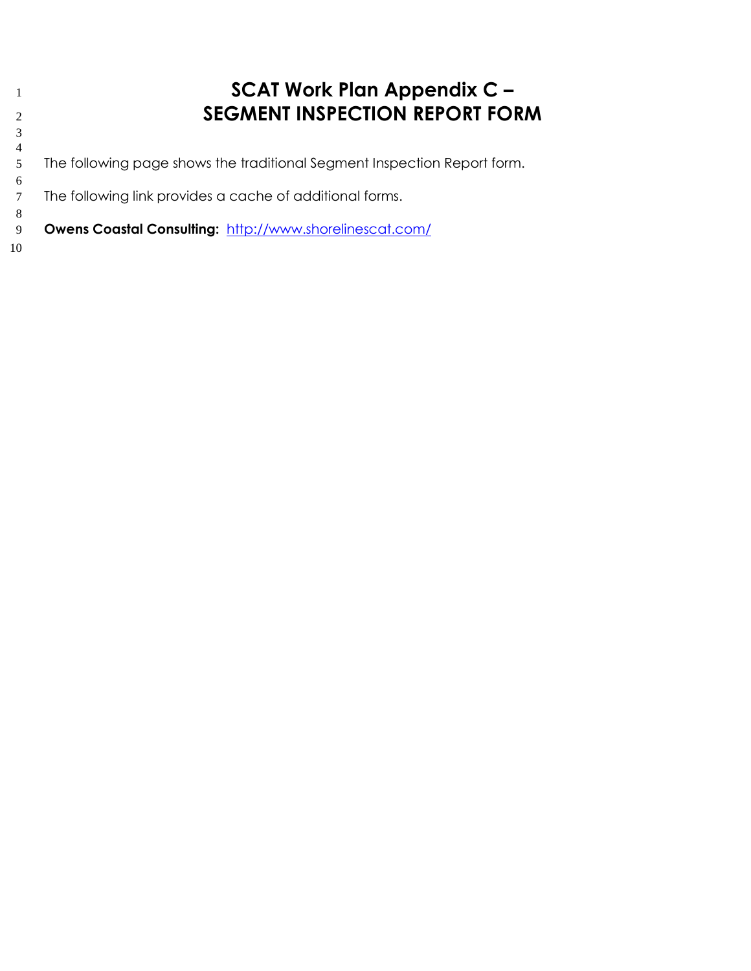## **SCAT Work Plan Appendix C – SEGMENT INSPECTION REPORT FORM**

 The following page shows the traditional Segment Inspection Report form.

 The following link provides a cache of additional forms.

 **Owens Coastal Consulting:** <http://www.shorelinescat.com/>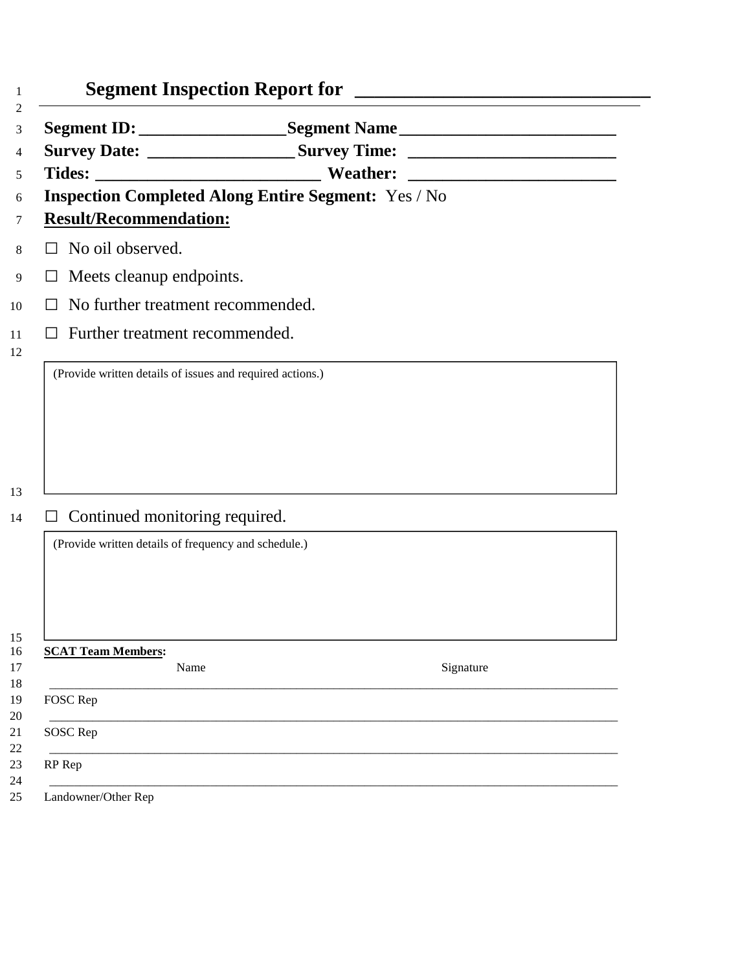|                                                           | Segment ID: ______________________Segment Name __________________________________ |  |
|-----------------------------------------------------------|-----------------------------------------------------------------------------------|--|
|                                                           | Survey Date: _________________________Survey Time: _____________________________  |  |
|                                                           |                                                                                   |  |
|                                                           | <b>Inspection Completed Along Entire Segment: Yes / No</b>                        |  |
| <b>Result/Recommendation:</b>                             |                                                                                   |  |
| $\Box$ No oil observed.                                   |                                                                                   |  |
| $\Box$ Meets cleanup endpoints.                           |                                                                                   |  |
| No further treatment recommended.<br>$\mathsf{L}$         |                                                                                   |  |
| Further treatment recommended.<br>$\perp$                 |                                                                                   |  |
| (Provide written details of issues and required actions.) |                                                                                   |  |
|                                                           |                                                                                   |  |
|                                                           |                                                                                   |  |
|                                                           |                                                                                   |  |
|                                                           |                                                                                   |  |
|                                                           |                                                                                   |  |
|                                                           |                                                                                   |  |
| Continued monitoring required.<br>⊔                       |                                                                                   |  |
| (Provide written details of frequency and schedule.)      |                                                                                   |  |
|                                                           |                                                                                   |  |
|                                                           |                                                                                   |  |
|                                                           |                                                                                   |  |
|                                                           |                                                                                   |  |
| <b>SCAT Team Members:</b>                                 |                                                                                   |  |
| Name                                                      | Signature                                                                         |  |
| FOSC Rep                                                  |                                                                                   |  |
| SOSC Rep                                                  |                                                                                   |  |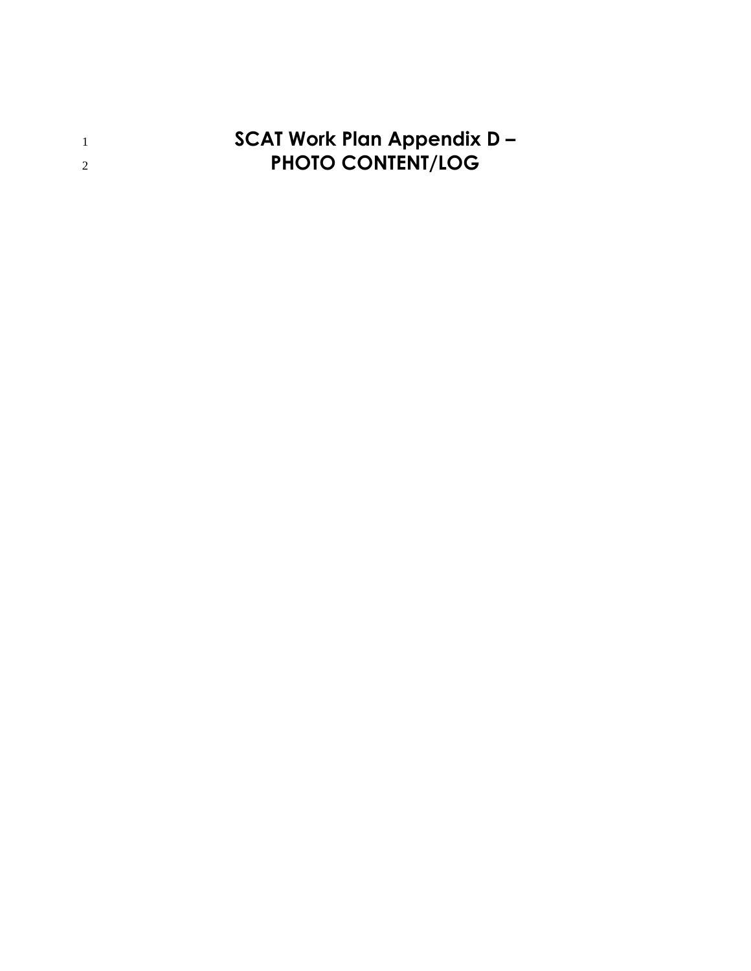**SCAT Work Plan Appendix D – PHOTO CONTENT/LOG**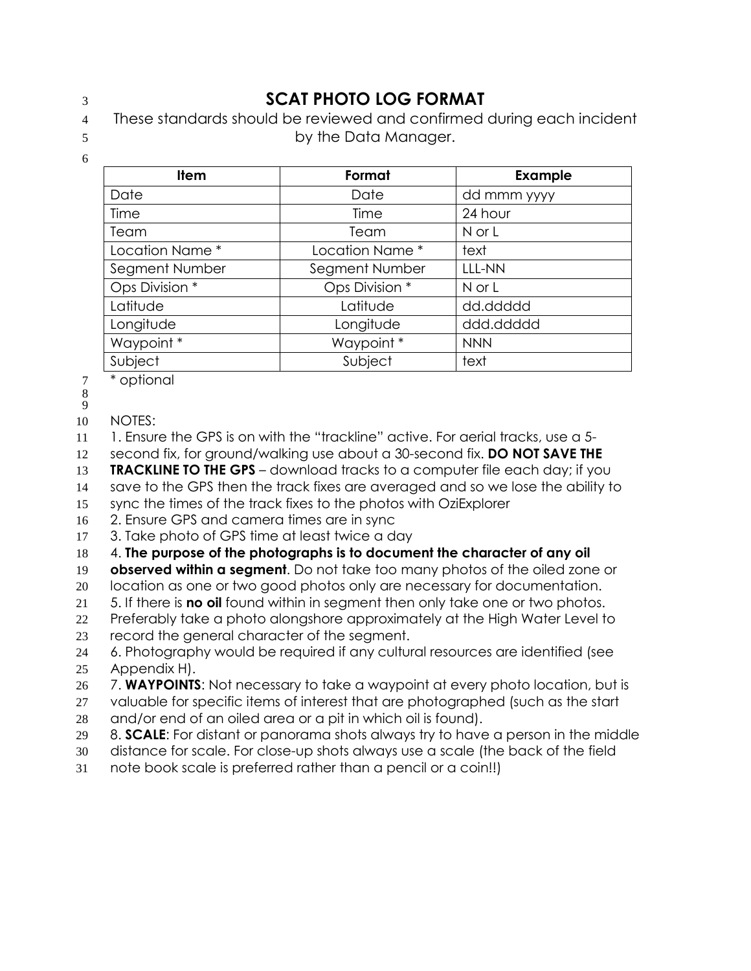## **SCAT PHOTO LOG FORMAT**

- These standards should be reviewed and confirmed during each incident
- 
- by the Data Manager.
	- **Item The Format** Property Example Date Date dd mmm yyyy Time and the Time 24 hour Team Team N or L Location Name \* The Location Name \* Thext Segment Number | Segment Number | LLL-NN Ops Division \* The Cops Division \* The N or L Latitude Latitude Latitude and Latitude and Latitude Latitude Latitude Latitude Latitude Longitude **Longitude** ddd.ddddd Waypoint \* NNN Not a Waypoint \* NNN Subject Subject lext
- \* optional
- 

NOTES:

- 1. Ensure the GPS is on with the "trackline" active. For aerial tracks, use a 5-
- second fix, for ground/walking use about a 30-second fix. **DO NOT SAVE THE**
- **TRACKLINE TO THE GPS**  download tracks to a computer file each day; if you
- save to the GPS then the track fixes are averaged and so we lose the ability to
- sync the times of the track fixes to the photos with OziExplorer
- 2. Ensure GPS and camera times are in sync
- 3. Take photo of GPS time at least twice a day
- 4. **The purpose of the photographs is to document the character of any oil**

**observed within a segment**. Do not take too many photos of the oiled zone or

- location as one or two good photos only are necessary for documentation.
- 5. If there is **no oil** found within in segment then only take one or two photos.
- Preferably take a photo alongshore approximately at the High Water Level to record the general character of the segment.
- 6. Photography would be required if any cultural resources are identified (see Appendix H).
- 7. **WAYPOINTS**: Not necessary to take a waypoint at every photo location, but is
- 27 valuable for specific items of interest that are photographed (such as the start
- and/or end of an oiled area or a pit in which oil is found).
- 8. **SCALE**: For distant or panorama shots always try to have a person in the middle
- distance for scale. For close-up shots always use a scale (the back of the field
- note book scale is preferred rather than a pencil or a coin!!)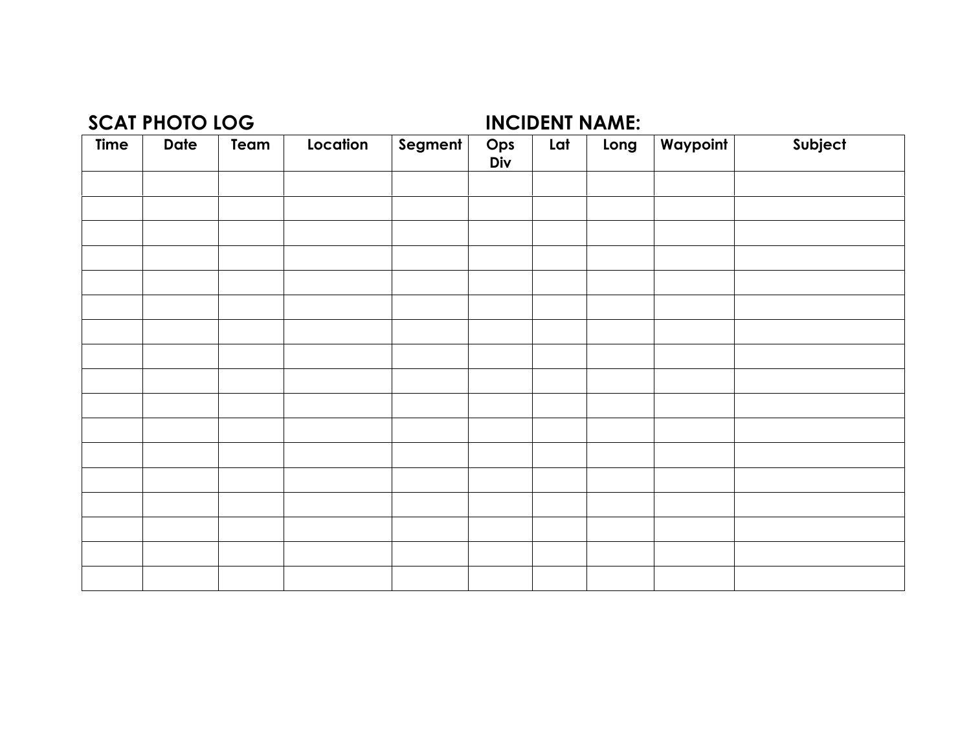## **SCAT PHOTO LOG INCIDENT NAME:**

| <b>Time</b> | <b>Date</b> | Team | Location | Segment | Ops<br>Div | Lat | Long | Waypoint | Subject |
|-------------|-------------|------|----------|---------|------------|-----|------|----------|---------|
|             |             |      |          |         |            |     |      |          |         |
|             |             |      |          |         |            |     |      |          |         |
|             |             |      |          |         |            |     |      |          |         |
|             |             |      |          |         |            |     |      |          |         |
|             |             |      |          |         |            |     |      |          |         |
|             |             |      |          |         |            |     |      |          |         |
|             |             |      |          |         |            |     |      |          |         |
|             |             |      |          |         |            |     |      |          |         |
|             |             |      |          |         |            |     |      |          |         |
|             |             |      |          |         |            |     |      |          |         |
|             |             |      |          |         |            |     |      |          |         |
|             |             |      |          |         |            |     |      |          |         |
|             |             |      |          |         |            |     |      |          |         |
|             |             |      |          |         |            |     |      |          |         |
|             |             |      |          |         |            |     |      |          |         |
|             |             |      |          |         |            |     |      |          |         |
|             |             |      |          |         |            |     |      |          |         |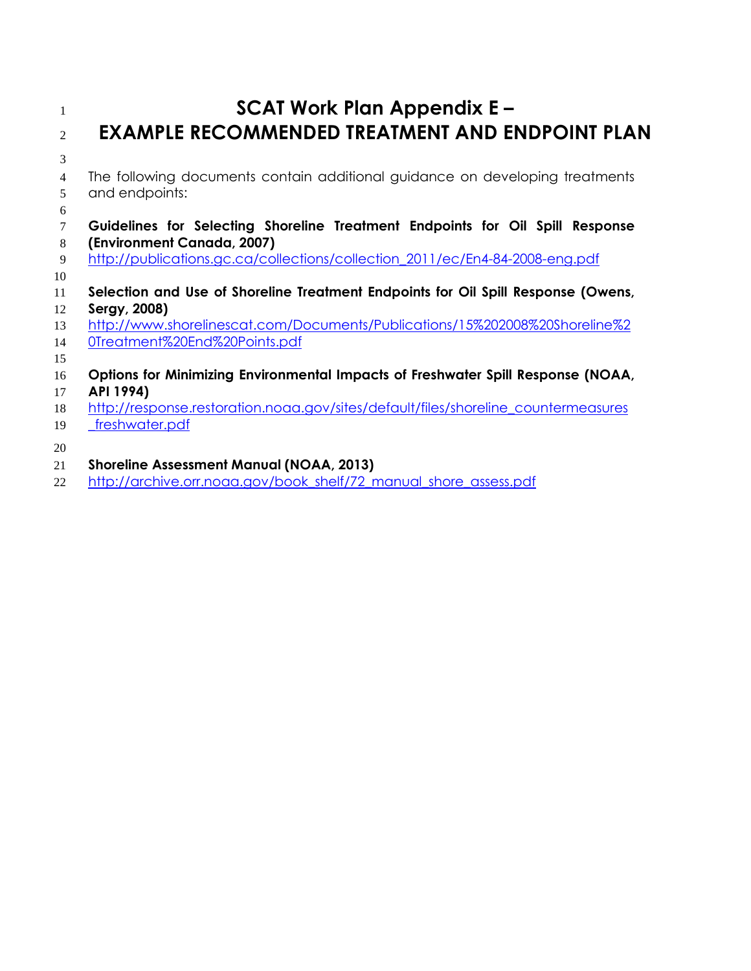## **SCAT Work Plan Appendix E – EXAMPLE RECOMMENDED TREATMENT AND ENDPOINT PLAN**

- The following documents contain additional guidance on developing treatments and endpoints:
- **Guidelines for Selecting Shoreline Treatment Endpoints for Oil Spill Response (Environment Canada, 2007)**
- [http://publications.gc.ca/collections/collection\\_2011/ec/En4-84-2008-eng.pdf](http://publications.gc.ca/site/archivee-archived.html?url=http://publications.gc.ca/collections/collection_2011/ec/En4-84-2008-eng.pdf)
- **Selection and Use of Shoreline Treatment Endpoints for Oil Spill Response (Owens, Sergy, 2008)**
- [http://www.shorelinescat.com/Documents/Publications/15%202008%20Shoreline%2](http://www.shorelinescat.com/Documents/Publications/15%202008%20Shoreline%20Treatment%20End%20Points.pdf)
- [0Treatment%20End%20Points.pdf](http://www.shorelinescat.com/Documents/Publications/15%202008%20Shoreline%20Treatment%20End%20Points.pdf)
- **Options for Minimizing Environmental Impacts of Freshwater Spill Response (NOAA,**
- **API 1994)**
- [http://response.restoration.noaa.gov/sites/default/files/shoreline\\_countermeasures](http://response.restoration.noaa.gov/sites/default/files/shoreline_countermeasures_freshwater.pdf)
- [\\_freshwater.pdf](http://response.restoration.noaa.gov/sites/default/files/shoreline_countermeasures_freshwater.pdf)
- 
- **Shoreline Assessment Manual (NOAA, 2013)**
- [http://archive.orr.noaa.gov/book\\_shelf/72\\_manual\\_shore\\_assess.pdf](http://response.restoration.noaa.gov/sites/default/files/manual_shore_assess_aug2013.pdf)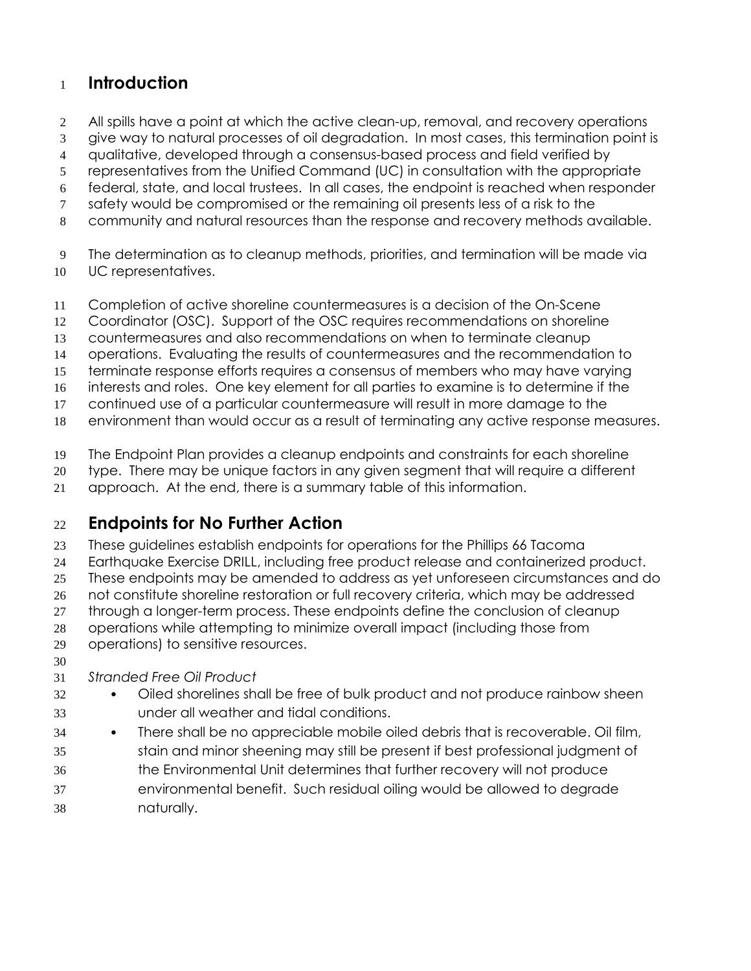## **Introduction**

- 2 All spills have a point at which the active clean-up, removal, and recovery operations
- give way to natural processes of oil degradation. In most cases, this termination point is
- qualitative, developed through a consensus-based process and field verified by
- representatives from the Unified Command (UC) in consultation with the appropriate
- federal, state, and local trustees. In all cases, the endpoint is reached when responder
- safety would be compromised or the remaining oil presents less of a risk to the
- community and natural resources than the response and recovery methods available.
- The determination as to cleanup methods, priorities, and termination will be made via UC representatives.
- Completion of active shoreline countermeasures is a decision of the On-Scene
- Coordinator (OSC). Support of the OSC requires recommendations on shoreline
- countermeasures and also recommendations on when to terminate cleanup
- operations. Evaluating the results of countermeasures and the recommendation to
- terminate response efforts requires a consensus of members who may have varying
- interests and roles. One key element for all parties to examine is to determine if the
- continued use of a particular countermeasure will result in more damage to the
- environment than would occur as a result of terminating any active response measures.
- The Endpoint Plan provides a cleanup endpoints and constraints for each shoreline
- type. There may be unique factors in any given segment that will require a different
- approach. At the end, there is a summary table of this information.

## **Endpoints for No Further Action**

- These guidelines establish endpoints for operations for the Phillips 66 Tacoma
- Earthquake Exercise DRILL, including free product release and containerized product.
- These endpoints may be amended to address as yet unforeseen circumstances and do
- not constitute shoreline restoration or full recovery criteria, which may be addressed
- through a longer-term process. These endpoints define the conclusion of cleanup
- operations while attempting to minimize overall impact (including those from
- operations) to sensitive resources.
- 

## *Stranded Free Oil Product*

- Oiled shorelines shall be free of bulk product and not produce rainbow sheen under all weather and tidal conditions.
- There shall be no appreciable mobile oiled debris that is recoverable. Oil film,
- stain and minor sheening may still be present if best professional judgment of the Environmental Unit determines that further recovery will not produce environmental benefit. Such residual oiling would be allowed to degrade naturally.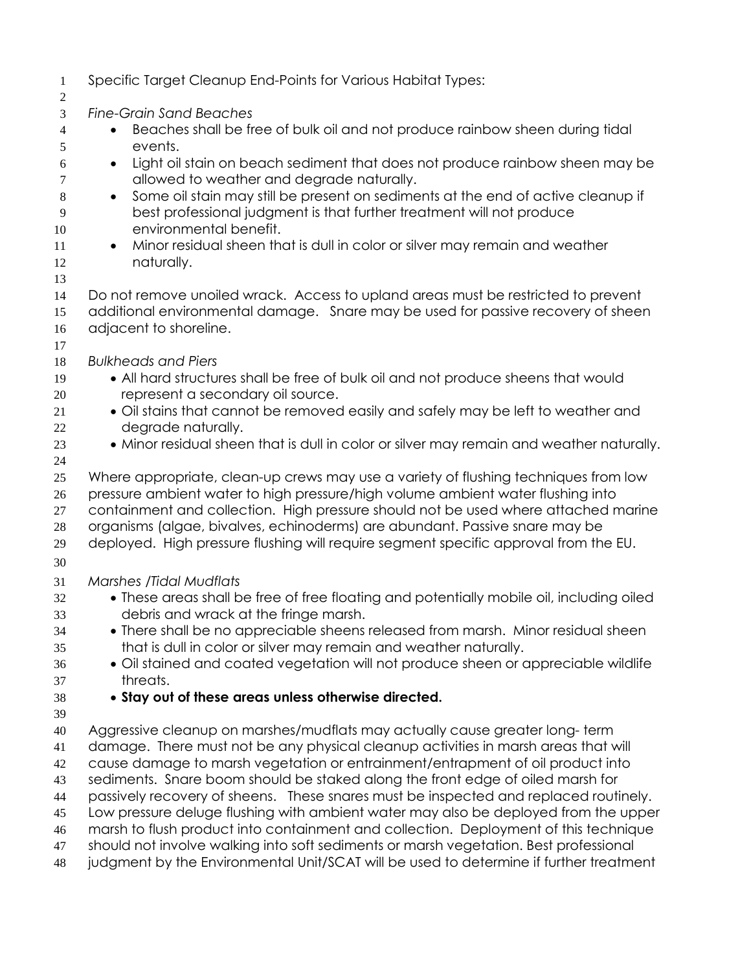Specific Target Cleanup End-Points for Various Habitat Types: *Fine-Grain Sand Beaches*  4 Beaches shall be free of bulk oil and not produce rainbow sheen during tidal events. Light oil stain on beach sediment that does not produce rainbow sheen may be allowed to weather and degrade naturally. 8 Some oil stain may still be present on sediments at the end of active cleanup if best professional judgment is that further treatment will not produce environmental benefit. 11 • Minor residual sheen that is dull in color or silver may remain and weather naturally. Do not remove unoiled wrack. Access to upland areas must be restricted to prevent additional environmental damage. Snare may be used for passive recovery of sheen adjacent to shoreline. *Bulkheads and Piers*  19 • All hard structures shall be free of bulk oil and not produce sheens that would represent a secondary oil source. 21 • Oil stains that cannot be removed easily and safely may be left to weather and degrade naturally. 23 Minor residual sheen that is dull in color or silver may remain and weather naturally. Where appropriate, clean-up crews may use a variety of flushing techniques from low pressure ambient water to high pressure/high volume ambient water flushing into containment and collection. High pressure should not be used where attached marine organisms (algae, bivalves, echinoderms) are abundant. Passive snare may be deployed. High pressure flushing will require segment specific approval from the EU. *Marshes /Tidal Mudflats*  These areas shall be free of free floating and potentially mobile oil, including oiled debris and wrack at the fringe marsh. There shall be no appreciable sheens released from marsh. Minor residual sheen that is dull in color or silver may remain and weather naturally. Oil stained and coated vegetation will not produce sheen or appreciable wildlife threats. **Stay out of these areas unless otherwise directed.**  Aggressive cleanup on marshes/mudflats may actually cause greater long- term damage. There must not be any physical cleanup activities in marsh areas that will cause damage to marsh vegetation or entrainment/entrapment of oil product into sediments. Snare boom should be staked along the front edge of oiled marsh for passively recovery of sheens. These snares must be inspected and replaced routinely. Low pressure deluge flushing with ambient water may also be deployed from the upper marsh to flush product into containment and collection. Deployment of this technique should not involve walking into soft sediments or marsh vegetation. Best professional judgment by the Environmental Unit/SCAT will be used to determine if further treatment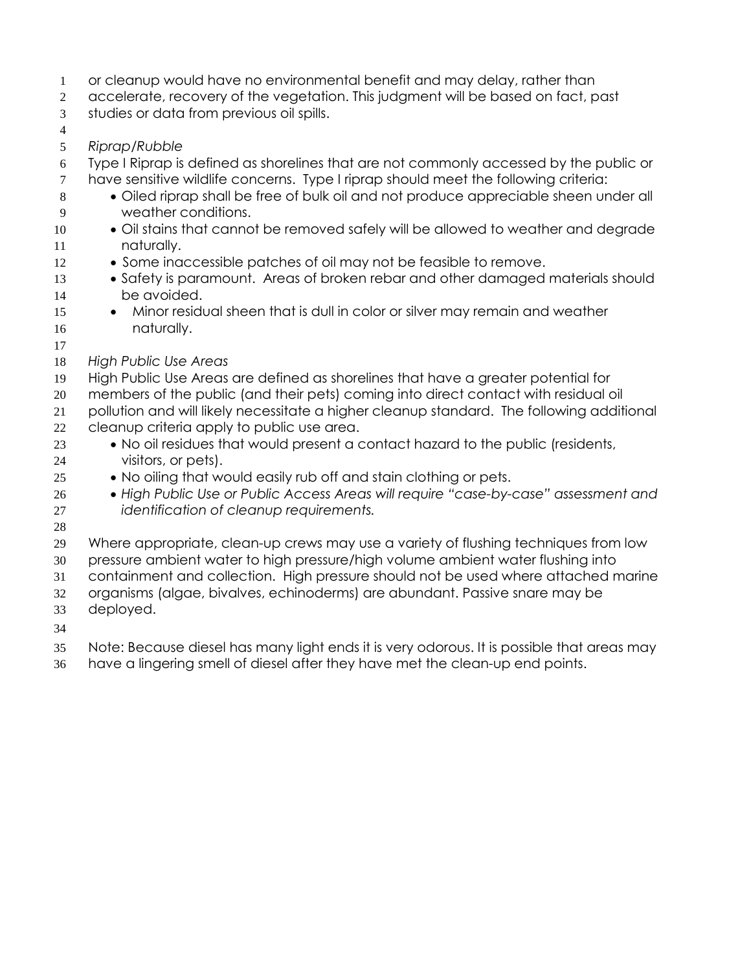- or cleanup would have no environmental benefit and may delay, rather than
- accelerate, recovery of the vegetation. This judgment will be based on fact, past
- studies or data from previous oil spills.
- 
- *Riprap/Rubble*
- Type I Riprap is defined as shorelines that are not commonly accessed by the public or have sensitive wildlife concerns. Type I riprap should meet the following criteria:
- 8  $\bullet$  Oiled riprap shall be free of bulk oil and not produce appreciable sheen under all weather conditions.
- 10 Oil stains that cannot be removed safely will be allowed to weather and degrade naturally.
- 12 Some inaccessible patches of oil may not be feasible to remove.
- 13 Safety is paramount. Areas of broken rebar and other damaged materials should be avoided.
- 15 Minor residual sheen that is dull in color or silver may remain and weather naturally.
- 
- *High Public Use Areas*
- High Public Use Areas are defined as shorelines that have a greater potential for
- members of the public (and their pets) coming into direct contact with residual oil
- pollution and will likely necessitate a higher cleanup standard. The following additional
- cleanup criteria apply to public use area.
- 23 No oil residues that would present a contact hazard to the public (residents, visitors, or pets).
- 25 No oiling that would easily rub off and stain clothing or pets.
- *High Public Use or Public Access Areas will require "case-by-case" assessment and identification of cleanup requirements.*
- 
- Where appropriate, clean-up crews may use a variety of flushing techniques from low
- pressure ambient water to high pressure/high volume ambient water flushing into
- containment and collection. High pressure should not be used where attached marine
- organisms (algae, bivalves, echinoderms) are abundant. Passive snare may be deployed.
- 
- Note: Because diesel has many light ends it is very odorous. It is possible that areas may
- have a lingering smell of diesel after they have met the clean-up end points.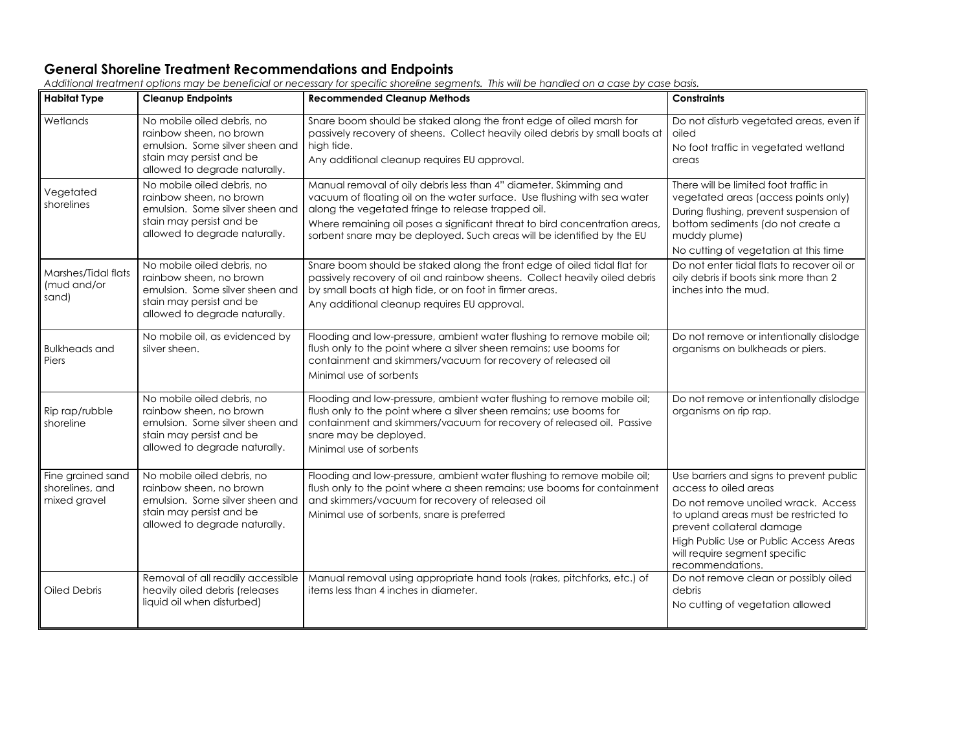#### **General Shoreline Treatment Recommendations and Endpoints**

| <b>Habitat Type</b>                                  | <b>Cleanup Endpoints</b>                                                                                                                              | <b>Recommended Cleanup Methods</b>                                                                                                                                                                                                                                                                                                                           | <b>Constraints</b>                                                                                                                                                                                                                                                            |  |
|------------------------------------------------------|-------------------------------------------------------------------------------------------------------------------------------------------------------|--------------------------------------------------------------------------------------------------------------------------------------------------------------------------------------------------------------------------------------------------------------------------------------------------------------------------------------------------------------|-------------------------------------------------------------------------------------------------------------------------------------------------------------------------------------------------------------------------------------------------------------------------------|--|
| Wetlands                                             | No mobile oiled debris, no<br>rainbow sheen, no brown<br>emulsion. Some silver sheen and<br>stain may persist and be<br>allowed to degrade naturally. | Snare boom should be staked along the front edge of oiled marsh for<br>passively recovery of sheens. Collect heavily oiled debris by small boats at<br>high tide.<br>Any additional cleanup requires EU approval.                                                                                                                                            | Do not disturb vegetated areas, even if<br>oiled<br>No foot traffic in vegetated wetland<br>areas                                                                                                                                                                             |  |
| Vegetated<br>shorelines                              | No mobile oiled debris, no<br>rainbow sheen, no brown<br>emulsion. Some silver sheen and<br>stain may persist and be<br>allowed to degrade naturally. | Manual removal of oily debris less than 4" diameter. Skimming and<br>vacuum of floating oil on the water surface. Use flushing with sea water<br>along the vegetated fringe to release trapped oil.<br>Where remaining oil poses a significant threat to bird concentration areas,<br>sorbent snare may be deployed. Such areas will be identified by the EU | There will be limited foot traffic in<br>vegetated areas (access points only)<br>During flushing, prevent suspension of<br>bottom sediments (do not create a<br>muddy plume)<br>No cutting of vegetation at this time                                                         |  |
| Marshes/Tidal flats<br>(mud and/or<br>sand)          | No mobile oiled debris, no<br>rainbow sheen, no brown<br>emulsion. Some silver sheen and<br>stain may persist and be<br>allowed to degrade naturally. | Snare boom should be staked along the front edge of oiled tidal flat for<br>passively recovery of oil and rainbow sheens. Collect heavily oiled debris<br>by small boats at high tide, or on foot in firmer areas.<br>Any additional cleanup requires EU approval.                                                                                           | Do not enter tidal flats to recover oil or<br>oily debris if boots sink more than 2<br>inches into the mud.                                                                                                                                                                   |  |
| <b>Bulkheads and</b><br>Piers                        | No mobile oil, as evidenced by<br>silver sheen.                                                                                                       | Flooding and low-pressure, ambient water flushing to remove mobile oil;<br>flush only to the point where a silver sheen remains; use booms for<br>containment and skimmers/vacuum for recovery of released oil<br>Minimal use of sorbents                                                                                                                    | Do not remove or intentionally dislodge<br>organisms on bulkheads or piers.                                                                                                                                                                                                   |  |
| Rip rap/rubble<br>shoreline                          | No mobile oiled debris, no<br>rainbow sheen, no brown<br>emulsion. Some silver sheen and<br>stain may persist and be<br>allowed to degrade naturally. | Flooding and low-pressure, ambient water flushing to remove mobile oil;<br>flush only to the point where a silver sheen remains; use booms for<br>containment and skimmers/vacuum for recovery of released oil. Passive<br>snare may be deployed.<br>Minimal use of sorbents                                                                                 | Do not remove or intentionally dislodge<br>organisms on rip rap.                                                                                                                                                                                                              |  |
| Fine grained sand<br>shorelines, and<br>mixed gravel | No mobile oiled debris, no<br>rainbow sheen, no brown<br>emulsion. Some silver sheen and<br>stain may persist and be<br>allowed to degrade naturally. | Flooding and low-pressure, ambient water flushing to remove mobile oil;<br>flush only to the point where a sheen remains; use booms for containment<br>and skimmers/vacuum for recovery of released oil<br>Minimal use of sorbents, snare is preferred                                                                                                       | Use barriers and signs to prevent public<br>access to oiled areas<br>Do not remove unoiled wrack. Access<br>to upland areas must be restricted to<br>prevent collateral damage<br>High Public Use or Public Access Areas<br>will require segment specific<br>recommendations. |  |
| Oiled Debris                                         | Removal of all readily accessible<br>heavily oiled debris (releases<br>liquid oil when disturbed)                                                     | Manual removal using appropriate hand tools (rakes, pitchforks, etc.) of<br>items less than 4 inches in diameter.                                                                                                                                                                                                                                            | Do not remove clean or possibly oiled<br>debris<br>No cutting of vegetation allowed                                                                                                                                                                                           |  |

*Additional treatment options may be beneficial or necessary for specific shoreline segments. This will be handled on a case by case basis.*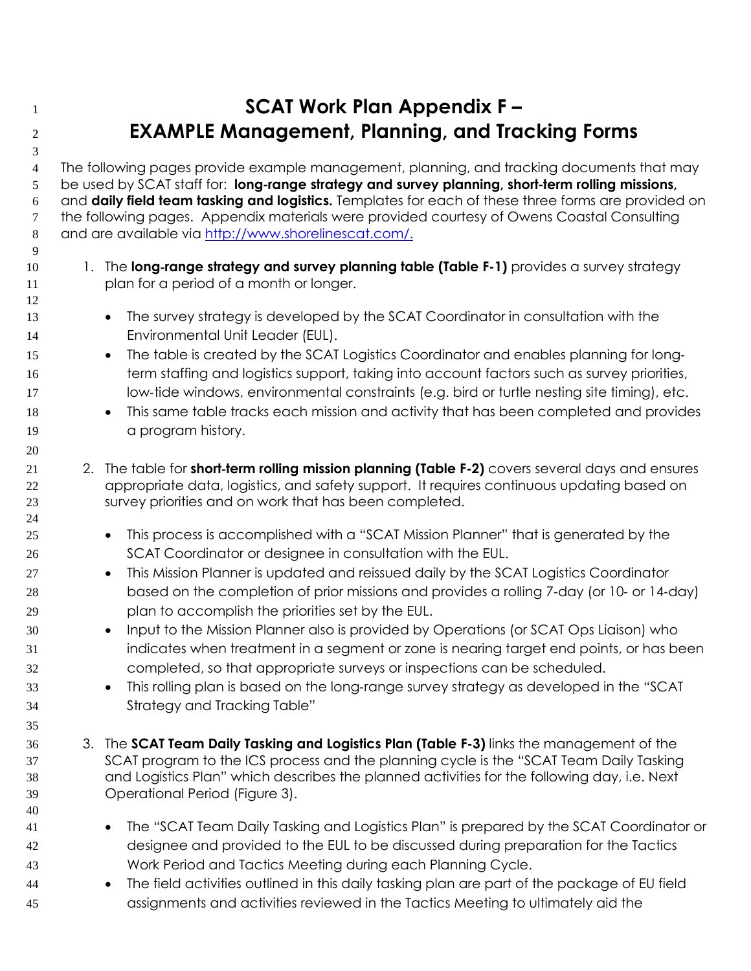# **SCAT Work Plan Appendix F – EXAMPLE Management, Planning, and Tracking Forms**

The following pages provide example management, planning, and tracking documents that may 5 be used by SCAT staff for: **long-range strategy and survey planning, short-term rolling missions,**<br>6 and **daily field team tasking and logistics.** Templates for each of these three forms are provided and **daily field team tasking and logistics.** Templates for each of these three forms are provided on the following pages. Appendix materials were provided courtesy of Owens Coastal Consulting and are available via<http://www.shorelinescat.com/>.

- 10 1. The **long-range strategy and survey planning table (Table F-1)** provides a survey strategy plan for a period of a month or longer. plan for a period of a month or longer.
- 13 The survey strategy is developed by the SCAT Coordinator in consultation with the Environmental Unit Leader (EUL).
- **The table is created by the SCAT Logistics Coordinator and enables planning for long-**16 term staffing and logistics support, taking into account factors such as survey priorities, 17 low-tide windows, environmental constraints (e.g. bird or turtle nesting site timing), etc.
- **This same table tracks each mission and activity that has been completed and provides** 19 a program history.
- 21 2. The table for **short-term rolling mission planning (Table F-2)** covers several days and ensures<br>22 appropriate data, logistics, and safety support. It requires continuous updating based on appropriate data, logistics, and safety support. It requires continuous updating based on survey priorities and on work that has been completed.
- This process is accomplished with a "SCAT Mission Planner" that is generated by the SCAT Coordinator or designee in consultation with the EUL.
- **•** This Mission Planner is updated and reissued daily by the SCAT Logistics Coordinator 28 based on the completion of prior missions and provides a rolling 7-day (or 10- or 14-day) plan to accomplish the priorities set by the EUL.
- Input to the Mission Planner also is provided by Operations (or SCAT Ops Liaison) who indicates when treatment in a segment or zone is nearing target end points, or has been completed, so that appropriate surveys or inspections can be scheduled.
- **This rolling plan is based on the long-range survey strategy as developed in the "SCAT** Strategy and Tracking Table"
- 3. The **SCAT Team Daily Tasking and Logistics Plan (Table F-3)** links the management of the SCAT program to the ICS process and the planning cycle is the "SCAT Team Daily Tasking and Logistics Plan" which describes the planned activities for the following day, i.e. Next Operational Period (Figure 3).
- 41 The "SCAT Team Daily Tasking and Logistics Plan" is prepared by the SCAT Coordinator or designee and provided to the EUL to be discussed during preparation for the Tactics Work Period and Tactics Meeting during each Planning Cycle.
- The field activities outlined in this daily tasking plan are part of the package of EU field assignments and activities reviewed in the Tactics Meeting to ultimately aid the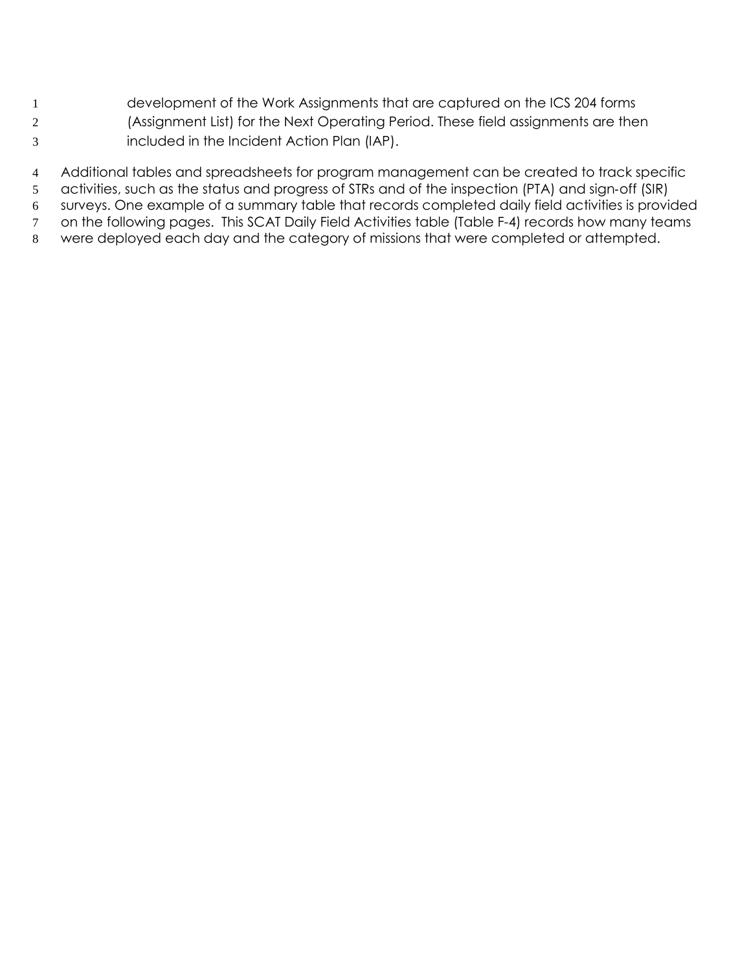- development of the Work Assignments that are captured on the ICS 204 forms (Assignment List) for the Next Operating Period. These field assignments are then
- included in the Incident Action Plan (IAP).
- Additional tables and spreadsheets for program management can be created to track specific
- 5 activities, such as the status and progress of STRs and of the inspection (PTA) and sign-off (SIR)<br>6 surveys. One example of a summary table that records completed daily field activities is provi
- surveys. One example of a summary table that records completed daily field activities is provided
- on the following pages. This SCAT Daily Field Activities table (Table F-4) records how many teams
- were deployed each day and the category of missions that were completed or attempted.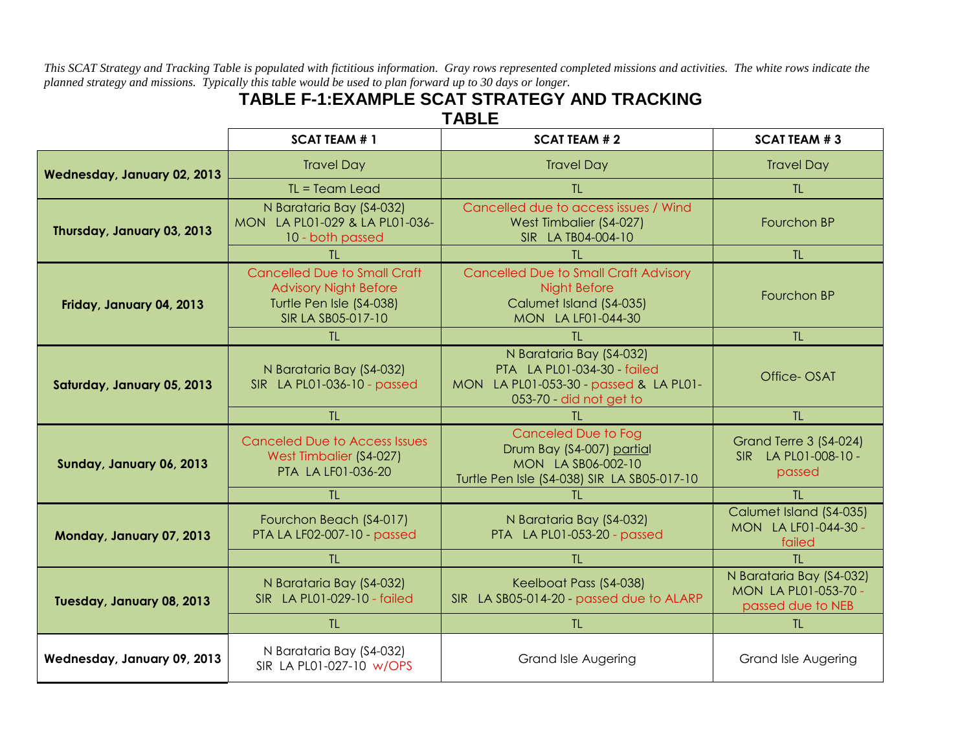*This SCAT Strategy and Tracking Table is populated with fictitious information. Gray rows represented completed missions and activities. The white rows indicate the planned strategy and missions. Typically this table would be used to plan forward up to 30 days or longer.*

## **TABLE F-1:EXAMPLE SCAT STRATEGY AND TRACKING TABLE**

|                             | <b>SCAT TEAM #1</b>                                                                                                   | <b>SCAT TEAM #2</b>                                                                                                          | <b>SCAT TEAM #3</b>                                                   |
|-----------------------------|-----------------------------------------------------------------------------------------------------------------------|------------------------------------------------------------------------------------------------------------------------------|-----------------------------------------------------------------------|
| Wednesday, January 02, 2013 | <b>Travel Day</b>                                                                                                     | <b>Travel Day</b>                                                                                                            | <b>Travel Day</b>                                                     |
|                             | $TL = Team$ Lead                                                                                                      | $T\Gamma$                                                                                                                    | TL.                                                                   |
| Thursday, January 03, 2013  | N Barataria Bay (S4-032)<br>MON LA PL01-029 & LA PL01-036-<br>10 - both passed                                        | Cancelled due to access issues / Wind<br>West Timbalier (S4-027)<br>SIR LA TB04-004-10                                       | Fourchon BP                                                           |
|                             | TI.                                                                                                                   | TI.                                                                                                                          | TL.                                                                   |
| Friday, January 04, 2013    | <b>Cancelled Due to Small Craft</b><br><b>Advisory Night Before</b><br>Turtle Pen Isle (S4-038)<br>SIR LA SB05-017-10 | <b>Cancelled Due to Small Craft Advisory</b><br>Night Before<br>Calumet Island (S4-035)<br>MON LA LF01-044-30                | Fourchon BP                                                           |
|                             | TL.                                                                                                                   | <b>TL</b>                                                                                                                    | TL                                                                    |
| Saturday, January 05, 2013  | N Barataria Bay (S4-032)<br>SIR LA PL01-036-10 - passed                                                               | N Barataria Bay (S4-032)<br>PTA LA PL01-034-30 - failed<br>MON LA PL01-053-30 - passed & LA PL01-<br>053-70 - did not get to | Office-OSAT                                                           |
|                             | TL.                                                                                                                   | TI.                                                                                                                          | TL.                                                                   |
| Sunday, January 06, 2013    | <b>Canceled Due to Access Issues</b><br>West Timbalier (S4-027)<br>PTA LA LF01-036-20                                 | <b>Canceled Due to Fog</b><br>Drum Bay (S4-007) partial<br>MON LA SB06-002-10<br>Turtle Pen Isle (S4-038) SIR LA SB05-017-10 | Grand Terre 3 (S4-024)<br>SIR LA PL01-008-10 -<br>passed              |
|                             | TL.                                                                                                                   | TL.                                                                                                                          | TL.                                                                   |
| Monday, January 07, 2013    | Fourchon Beach (S4-017)<br>PTA LA LF02-007-10 - passed                                                                | N Barataria Bay (S4-032)<br>PTA LA PL01-053-20 - passed                                                                      | Calumet Island (S4-035)<br>MON LA LF01-044-30 -<br>failed             |
|                             | TL.                                                                                                                   | TL.                                                                                                                          | TL.                                                                   |
| Tuesday, January 08, 2013   | N Barataria Bay (S4-032)<br>SIR LA PL01-029-10 - failed                                                               | Keelboat Pass (S4-038)<br>SIR LA SB05-014-20 - passed due to ALARP                                                           | N Barataria Bay (S4-032)<br>MON LA PL01-053-70 -<br>passed due to NEB |
|                             | $T\Gamma$                                                                                                             | $T\Gamma$                                                                                                                    | T1                                                                    |
| Wednesday, January 09, 2013 | N Barataria Bay (S4-032)<br>SIR LA PL01-027-10 w/OPS                                                                  | <b>Grand Isle Augering</b>                                                                                                   | <b>Grand Isle Augering</b>                                            |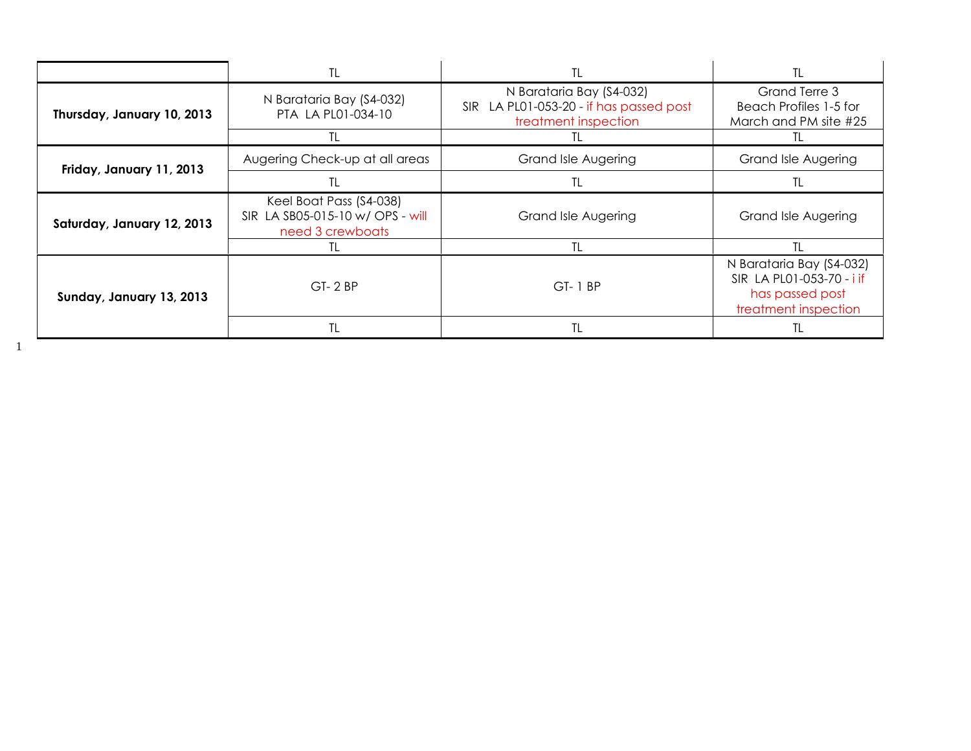|                            | TL                                                                              | TL                                                                                          | TL                                                                                               |
|----------------------------|---------------------------------------------------------------------------------|---------------------------------------------------------------------------------------------|--------------------------------------------------------------------------------------------------|
| Thursday, January 10, 2013 | N Barataria Bay (S4-032)<br>PTA LA PL01-034-10                                  | N Barataria Bay (S4-032)<br>SIR LA PL01-053-20 - if has passed post<br>treatment inspection | Grand Terre 3<br>Beach Profiles 1-5 for<br>March and PM site #25                                 |
|                            | TL                                                                              |                                                                                             | ΙL                                                                                               |
| Friday, January 11, 2013   | Augering Check-up at all areas                                                  | <b>Grand Isle Augering</b>                                                                  | <b>Grand Isle Augering</b>                                                                       |
|                            | TL                                                                              |                                                                                             | TL                                                                                               |
| Saturday, January 12, 2013 | Keel Boat Pass (S4-038)<br>SIR LA SB05-015-10 w/ OPS - will<br>need 3 crewboats | <b>Grand Isle Augering</b>                                                                  | <b>Grand Isle Augering</b>                                                                       |
|                            | TL                                                                              | TL                                                                                          | TL                                                                                               |
| Sunday, January 13, 2013   | $GT - 2 BP$                                                                     | $GT-1$<br>∣ BP                                                                              | N Barataria Bay (S4-032)<br>SIR LA PL01-053-70 - i if<br>has passed post<br>treatment inspection |
|                            | TL                                                                              | <b>TL</b>                                                                                   | TL                                                                                               |

1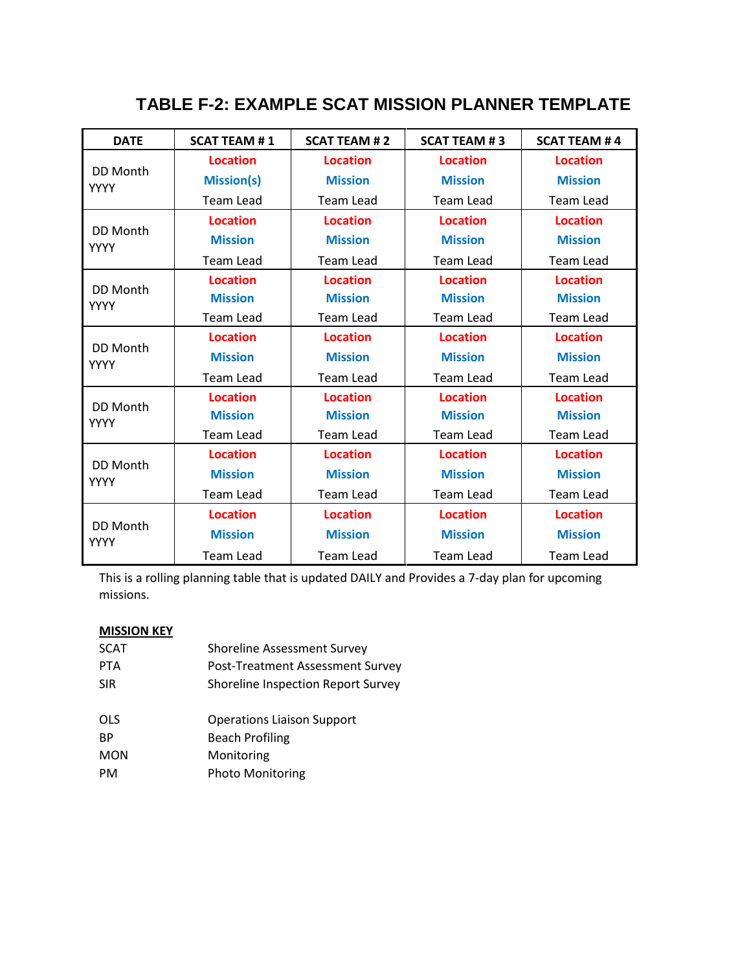## **TABLE F-2: EXAMPLE SCAT MISSION PLANNER TEMPLATE**

| <b>DATE</b>             | <b>SCAT TEAM #1</b> | <b>SCAT TEAM #2</b> | <b>SCAT TEAM #3</b> | <b>SCAT TEAM #4</b> |
|-------------------------|---------------------|---------------------|---------------------|---------------------|
|                         | <b>Location</b>     | <b>Location</b>     | <b>Location</b>     | <b>Location</b>     |
| DD Month<br><b>YYYY</b> | <b>Mission(s)</b>   | <b>Mission</b>      | <b>Mission</b>      | <b>Mission</b>      |
|                         | <b>Team Lead</b>    | <b>Team Lead</b>    | <b>Team Lead</b>    | <b>Team Lead</b>    |
|                         | <b>Location</b>     | <b>Location</b>     | <b>Location</b>     | <b>Location</b>     |
| DD Month<br><b>YYYY</b> | <b>Mission</b>      | <b>Mission</b>      | <b>Mission</b>      | <b>Mission</b>      |
|                         | <b>Team Lead</b>    | <b>Team Lead</b>    | Team Lead           | Team Lead           |
|                         | <b>Location</b>     | <b>Location</b>     | <b>Location</b>     | <b>Location</b>     |
| DD Month<br><b>YYYY</b> | <b>Mission</b>      | <b>Mission</b>      | <b>Mission</b>      | <b>Mission</b>      |
|                         | <b>Team Lead</b>    | <b>Team Lead</b>    | <b>Team Lead</b>    | <b>Team Lead</b>    |
|                         | <b>Location</b>     | <b>Location</b>     | <b>Location</b>     | <b>Location</b>     |
| DD Month<br><b>YYYY</b> | <b>Mission</b>      | <b>Mission</b>      | <b>Mission</b>      | <b>Mission</b>      |
|                         | <b>Team Lead</b>    | <b>Team Lead</b>    | <b>Team Lead</b>    | <b>Team Lead</b>    |
| DD Month                | <b>Location</b>     | <b>Location</b>     | <b>Location</b>     | <b>Location</b>     |
| <b>YYYY</b>             | <b>Mission</b>      | <b>Mission</b>      | <b>Mission</b>      | <b>Mission</b>      |
|                         | <b>Team Lead</b>    | <b>Team Lead</b>    | <b>Team Lead</b>    | <b>Team Lead</b>    |
|                         | <b>Location</b>     | <b>Location</b>     | <b>Location</b>     | <b>Location</b>     |
| DD Month<br><b>YYYY</b> | <b>Mission</b>      | <b>Mission</b>      | <b>Mission</b>      | <b>Mission</b>      |
|                         | <b>Team Lead</b>    | Team Lead           | <b>Team Lead</b>    | <b>Team Lead</b>    |
|                         | <b>Location</b>     | <b>Location</b>     | <b>Location</b>     | <b>Location</b>     |
| DD Month<br><b>YYYY</b> | <b>Mission</b>      | <b>Mission</b>      | <b>Mission</b>      | <b>Mission</b>      |
|                         | Team Lead           | Team Lead           | Team Lead           | Team Lead           |

This is a rolling planning table that is updated DAILY and Provides a 7-day plan for upcoming missions.

#### **MISSION KEY**

| <b>Shoreline Assessment Survey</b> |
|------------------------------------|
| Post-Treatment Assessment Survey   |
| Shoreline Inspection Report Survey |
| <b>Operations Liaison Support</b>  |
| <b>Beach Profiling</b>             |
| Monitoring                         |
| <b>Photo Monitoring</b>            |
|                                    |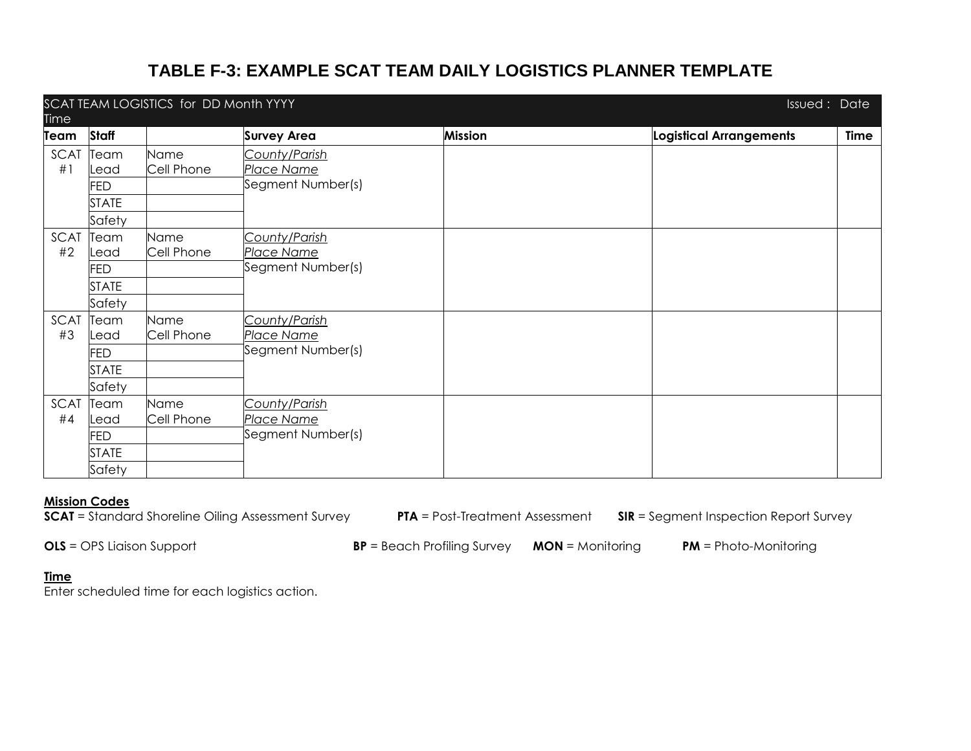## **TABLE F-3: EXAMPLE SCAT TEAM DAILY LOGISTICS PLANNER TEMPLATE**

|            | SCAT TEAM LOGISTICS for DD Month YYYY<br><b>Issued: Date</b> |                    |                                                  |                |                         |      |  |  |  |
|------------|--------------------------------------------------------------|--------------------|--------------------------------------------------|----------------|-------------------------|------|--|--|--|
| Time       |                                                              |                    |                                                  |                |                         |      |  |  |  |
| Team       | Staff                                                        |                    | <b>Survey Area</b>                               | <b>Mission</b> | Logistical Arrangements | Time |  |  |  |
| SCAT<br>#1 | Team<br>_ead<br><b>FED</b>                                   | Name<br>Cell Phone | County/Parish<br>Place Name<br>Segment Number(s) |                |                         |      |  |  |  |
|            | <b>STATE</b><br>Safety                                       |                    |                                                  |                |                         |      |  |  |  |
| SCAT<br>#2 | Team<br>Lead<br><b>FED</b>                                   | Name<br>Cell Phone | County/Parish<br>Place Name<br>Segment Number(s) |                |                         |      |  |  |  |
|            | <b>STATE</b><br>Safety                                       |                    |                                                  |                |                         |      |  |  |  |
| SCAT<br>#3 | Team<br>_ead                                                 | Name<br>Cell Phone | County/Parish<br>Place Name                      |                |                         |      |  |  |  |
|            | <b>FED</b><br><b>STATE</b><br>Safety                         |                    | Segment Number(s)                                |                |                         |      |  |  |  |
| SCAT<br>#4 | Team<br>Lead<br><b>FED</b>                                   | Name<br>Cell Phone | County/Parish<br>Place Name<br>Segment Number(s) |                |                         |      |  |  |  |
|            | <b>STATE</b><br>Safety                                       |                    |                                                  |                |                         |      |  |  |  |

#### **Mission Codes**

| <b>SCAT</b> = Standard Shoreline Oiling Assessment Survey |  |
|-----------------------------------------------------------|--|

**PTA** = Post-Treatment Assessment **SIR** = Segment Inspection Report Survey

**OLS** = OPS Liaison Support **BP** = Beach Profiling Survey **MON** = Monitoring **PM** = Photo-Monitoring

#### **Time**

Enter scheduled time for each logistics action.